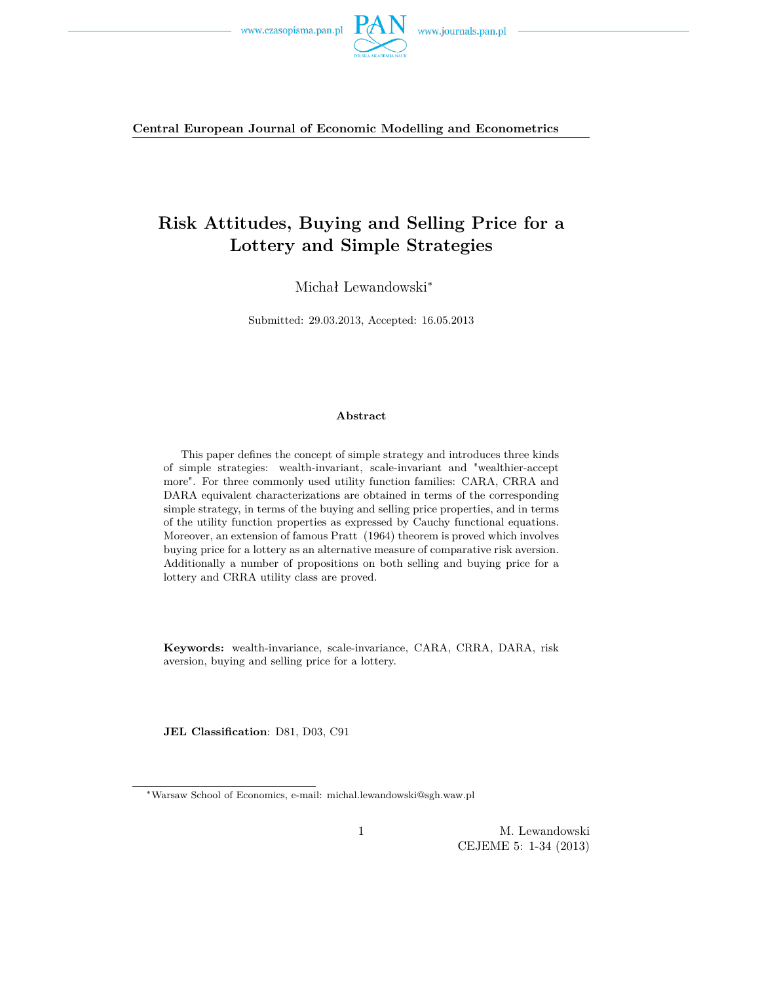

**Central European Journal of Economic Modelling and Econometrics**

# **Risk Attitudes, Buying and Selling Price for a Lottery and Simple Strategies**

Michał Lewandowski<sup>∗</sup>

Submitted: 29.03.2013, Accepted: 16.05.2013

#### **Abstract**

This paper defines the concept of simple strategy and introduces three kinds of simple strategies: wealth-invariant, scale-invariant and "wealthier-accept more". For three commonly used utility function families: CARA, CRRA and DARA equivalent characterizations are obtained in terms of the corresponding simple strategy, in terms of the buying and selling price properties, and in terms of the utility function properties as expressed by Cauchy functional equations. Moreover, an extension of famous Pratt (1964) theorem is proved which involves buying price for a lottery as an alternative measure of comparative risk aversion. Additionally a number of propositions on both selling and buying price for a lottery and CRRA utility class are proved.

**Keywords:** wealth-invariance, scale-invariance, CARA, CRRA, DARA, risk aversion, buying and selling price for a lottery.

**JEL Classification**: D81, D03, C91

<sup>∗</sup>Warsaw School of Economics, e-mail: michal.lewandowski@sgh.waw.pl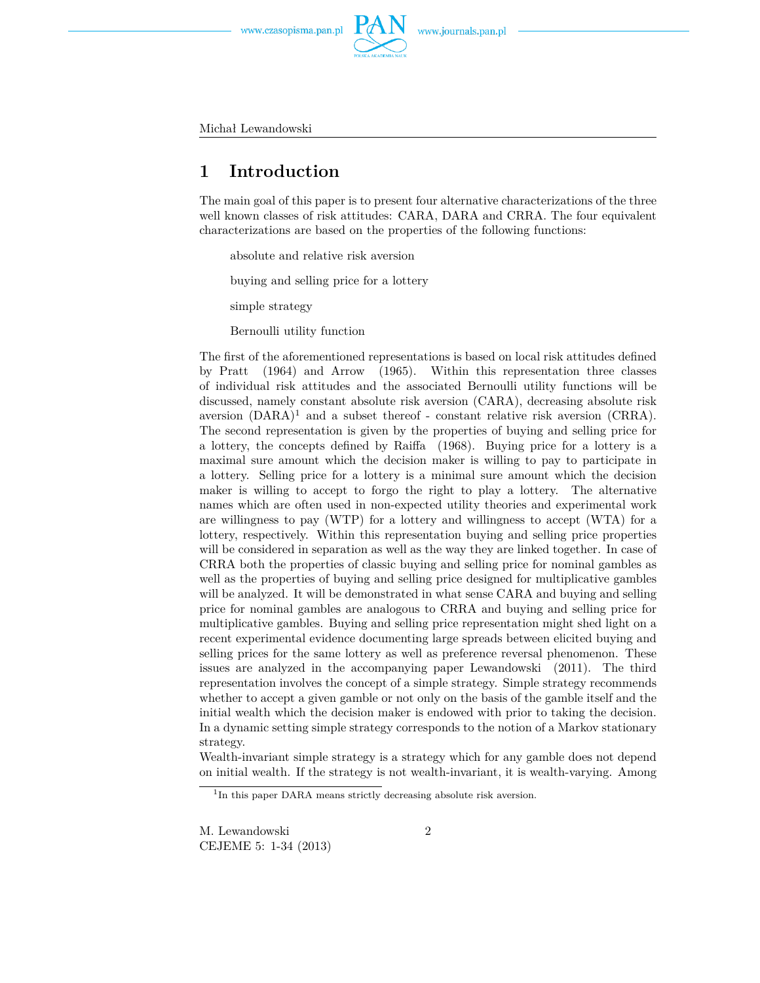

Michał Lewandowski

## **1 Introduction**

The main goal of this paper is to present four alternative characterizations of the three well known classes of risk attitudes: CARA, DARA and CRRA. The four equivalent characterizations are based on the properties of the following functions:

absolute and relative risk aversion

buying and selling price for a lottery

simple strategy

Bernoulli utility function

The first of the aforementioned representations is based on local risk attitudes defined by Pratt (1964) and Arrow (1965). Within this representation three classes of individual risk attitudes and the associated Bernoulli utility functions will be discussed, namely constant absolute risk aversion (CARA), decreasing absolute risk aversion  $(DARA)^1$  and a subset thereof - constant relative risk aversion  $(CARA)$ . The second representation is given by the properties of buying and selling price for a lottery, the concepts defined by Raiffa (1968). Buying price for a lottery is a maximal sure amount which the decision maker is willing to pay to participate in a lottery. Selling price for a lottery is a minimal sure amount which the decision maker is willing to accept to forgo the right to play a lottery. The alternative names which are often used in non-expected utility theories and experimental work are willingness to pay (WTP) for a lottery and willingness to accept (WTA) for a lottery, respectively. Within this representation buying and selling price properties will be considered in separation as well as the way they are linked together. In case of CRRA both the properties of classic buying and selling price for nominal gambles as well as the properties of buying and selling price designed for multiplicative gambles will be analyzed. It will be demonstrated in what sense CARA and buying and selling price for nominal gambles are analogous to CRRA and buying and selling price for multiplicative gambles. Buying and selling price representation might shed light on a recent experimental evidence documenting large spreads between elicited buying and selling prices for the same lottery as well as preference reversal phenomenon. These issues are analyzed in the accompanying paper Lewandowski (2011). The third representation involves the concept of a simple strategy. Simple strategy recommends whether to accept a given gamble or not only on the basis of the gamble itself and the initial wealth which the decision maker is endowed with prior to taking the decision. In a dynamic setting simple strategy corresponds to the notion of a Markov stationary strategy.

Wealth-invariant simple strategy is a strategy which for any gamble does not depend on initial wealth. If the strategy is not wealth-invariant, it is wealth-varying. Among

<sup>&</sup>lt;sup>1</sup>In this paper DARA means strictly decreasing absolute risk aversion.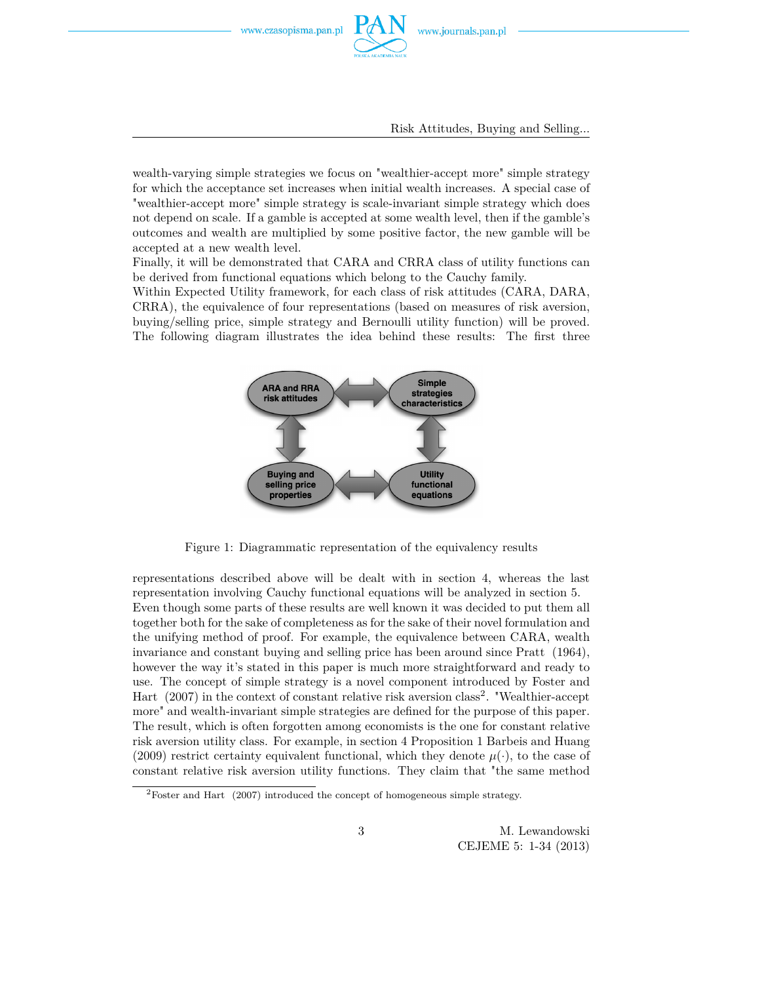

Risk Attitudes, Buying and Selling...

wealth-varying simple strategies we focus on "wealthier-accept more" simple strategy for which the acceptance set increases when initial wealth increases. A special case of "wealthier-accept more" simple strategy is scale-invariant simple strategy which does not depend on scale. If a gamble is accepted at some wealth level, then if the gamble's outcomes and wealth are multiplied by some positive factor, the new gamble will be accepted at a new wealth level.

Finally, it will be demonstrated that CARA and CRRA class of utility functions can be derived from functional equations which belong to the Cauchy family.

Within Expected Utility framework, for each class of risk attitudes (CARA, DARA, CRRA), the equivalence of four representations (based on measures of risk aversion, buying/selling price, simple strategy and Bernoulli utility function) will be proved. The following diagram illustrates the idea behind these results: The first three



Figure 1: Diagrammatic representation of the equivalency results

representations described above will be dealt with in section 4, whereas the last representation involving Cauchy functional equations will be analyzed in section 5. Even though some parts of these results are well known it was decided to put them all together both for the sake of completeness as for the sake of their novel formulation and the unifying method of proof. For example, the equivalence between CARA, wealth invariance and constant buying and selling price has been around since Pratt (1964), however the way it's stated in this paper is much more straightforward and ready to use. The concept of simple strategy is a novel component introduced by Foster and Hart (2007) in the context of constant relative risk aversion class<sup>2</sup>. "Wealthier-accept more" and wealth-invariant simple strategies are defined for the purpose of this paper. The result, which is often forgotten among economists is the one for constant relative risk aversion utility class. For example, in section 4 Proposition 1 Barbeis and Huang (2009) restrict certainty equivalent functional, which they denote  $\mu(\cdot)$ , to the case of constant relative risk aversion utility functions. They claim that "the same method

 ${}^{2}$ Foster and Hart (2007) introduced the concept of homogeneous simple strategy.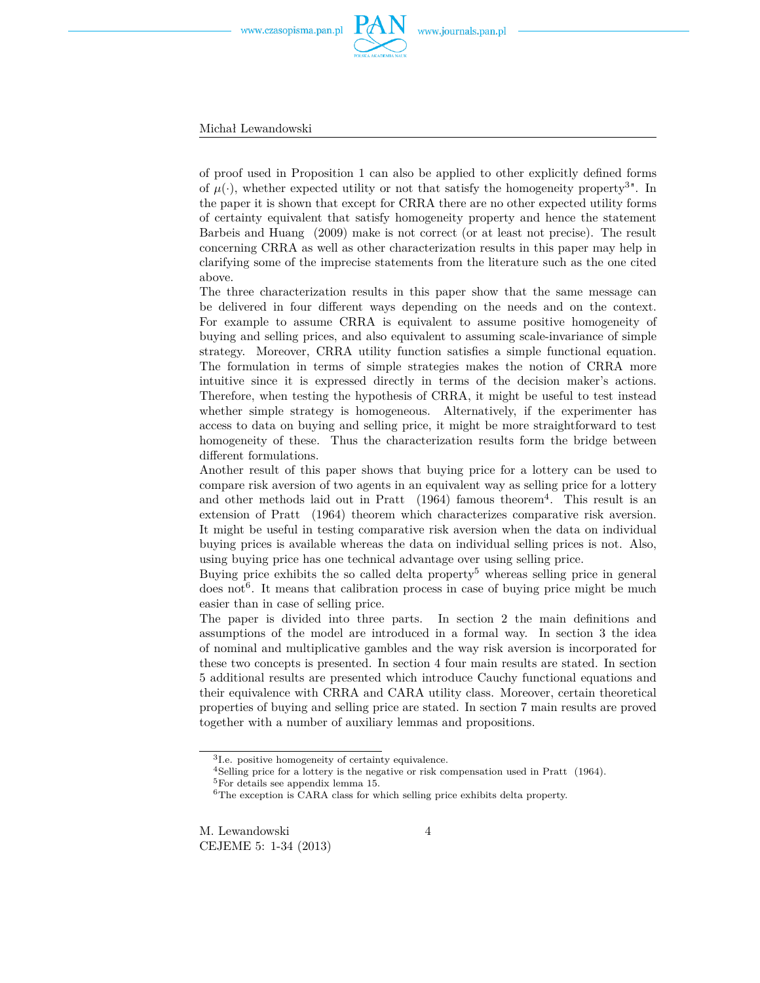

Michał Lewandowski

of proof used in Proposition 1 can also be applied to other explicitly defined forms of  $\mu(\cdot)$ , whether expected utility or not that satisfy the homogeneity property<sup>3</sup>. In the paper it is shown that except for CRRA there are no other expected utility forms of certainty equivalent that satisfy homogeneity property and hence the statement Barbeis and Huang (2009) make is not correct (or at least not precise). The result concerning CRRA as well as other characterization results in this paper may help in clarifying some of the imprecise statements from the literature such as the one cited above.

The three characterization results in this paper show that the same message can be delivered in four different ways depending on the needs and on the context. For example to assume CRRA is equivalent to assume positive homogeneity of buying and selling prices, and also equivalent to assuming scale-invariance of simple strategy. Moreover, CRRA utility function satisfies a simple functional equation. The formulation in terms of simple strategies makes the notion of CRRA more intuitive since it is expressed directly in terms of the decision maker's actions. Therefore, when testing the hypothesis of CRRA, it might be useful to test instead whether simple strategy is homogeneous. Alternatively, if the experimenter has access to data on buying and selling price, it might be more straightforward to test homogeneity of these. Thus the characterization results form the bridge between different formulations.

Another result of this paper shows that buying price for a lottery can be used to compare risk aversion of two agents in an equivalent way as selling price for a lottery and other methods laid out in Pratt  $(1964)$  famous theorem<sup>4</sup>. This result is an extension of Pratt (1964) theorem which characterizes comparative risk aversion. It might be useful in testing comparative risk aversion when the data on individual buying prices is available whereas the data on individual selling prices is not. Also, using buying price has one technical advantage over using selling price.

Buying price exhibits the so called delta property<sup>5</sup> whereas selling price in general does not<sup>6</sup>. It means that calibration process in case of buying price might be much easier than in case of selling price.

The paper is divided into three parts. In section 2 the main definitions and assumptions of the model are introduced in a formal way. In section 3 the idea of nominal and multiplicative gambles and the way risk aversion is incorporated for these two concepts is presented. In section 4 four main results are stated. In section 5 additional results are presented which introduce Cauchy functional equations and their equivalence with CRRA and CARA utility class. Moreover, certain theoretical properties of buying and selling price are stated. In section 7 main results are proved together with a number of auxiliary lemmas and propositions.

<sup>3</sup> I.e. positive homogeneity of certainty equivalence.

<sup>4</sup>Selling price for a lottery is the negative or risk compensation used in Pratt (1964).

<sup>5</sup>For details see appendix lemma 15.

<sup>6</sup>The exception is CARA class for which selling price exhibits delta property.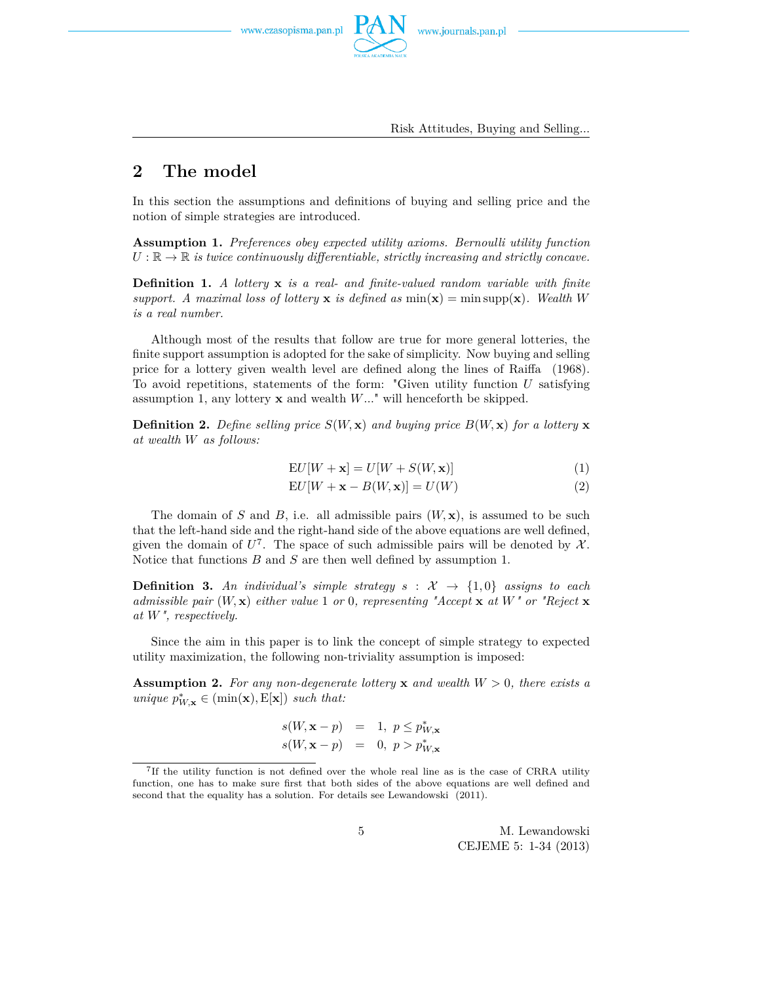

Risk Attitudes, Buying and Selling...

### **2 The model**

In this section the assumptions and definitions of buying and selling price and the notion of simple strategies are introduced.

**Assumption 1.** *Preferences obey expected utility axioms. Bernoulli utility function*  $U: \mathbb{R} \to \mathbb{R}$  *is twice continuously differentiable, strictly increasing and strictly concave.* 

**Definition 1.** *A lottery* **x** *is a real- and finite-valued random variable with finite support.* A maximal loss of lottery **x** is defined as  $\min(\mathbf{x}) = \min \sup p(\mathbf{x})$ *. Wealth W is a real number.*

Although most of the results that follow are true for more general lotteries, the finite support assumption is adopted for the sake of simplicity. Now buying and selling price for a lottery given wealth level are defined along the lines of Raiffa (1968). To avoid repetitions, statements of the form: "Given utility function *U* satisfying assumption 1, any lottery **x** and wealth *W*..." will henceforth be skipped.

**Definition 2.** Define selling price  $S(W, \mathbf{x})$  and buying price  $B(W, \mathbf{x})$  for a lottery  $\mathbf{x}$ *at wealth W as follows:*

$$
EU[W + x] = U[W + S(W, x)]\tag{1}
$$

$$
EU[W + x - B(W, x)] = U(W)
$$
\n(2)

The domain of *S* and *B*, i.e. all admissible pairs  $(W, x)$ , is assumed to be such that the left-hand side and the right-hand side of the above equations are well defined, given the domain of  $U^7$ . The space of such admissible pairs will be denoted by  $\mathcal{X}$ . Notice that functions *B* and *S* are then well defined by assumption 1.

**Definition 3.** An individual's simple strategy  $s : \mathcal{X} \rightarrow \{1,0\}$  assigns to each *admissible pair* (*W,* **x**) *either value* 1 *or* 0*, representing "Accept* **x** *at W" or "Reject* **x** *at W", respectively.*

Since the aim in this paper is to link the concept of simple strategy to expected utility maximization, the following non-triviality assumption is imposed:

**Assumption 2.** For any non-degenerate lottery **x** and wealth  $W > 0$ , there exists a  $unique p_{W,\mathbf{x}}^* \in (\min(\mathbf{x}), \mathbf{E}[\mathbf{x}]) \text{ such that:}$ 

$$
s(W, \mathbf{x} - p) = 1, \ p \le p_{W, \mathbf{x}}^*
$$
  

$$
s(W, \mathbf{x} - p) = 0, \ p > p_{W, \mathbf{x}}^*
$$

<sup>7</sup> If the utility function is not defined over the whole real line as is the case of CRRA utility function, one has to make sure first that both sides of the above equations are well defined and second that the equality has a solution. For details see Lewandowski (2011).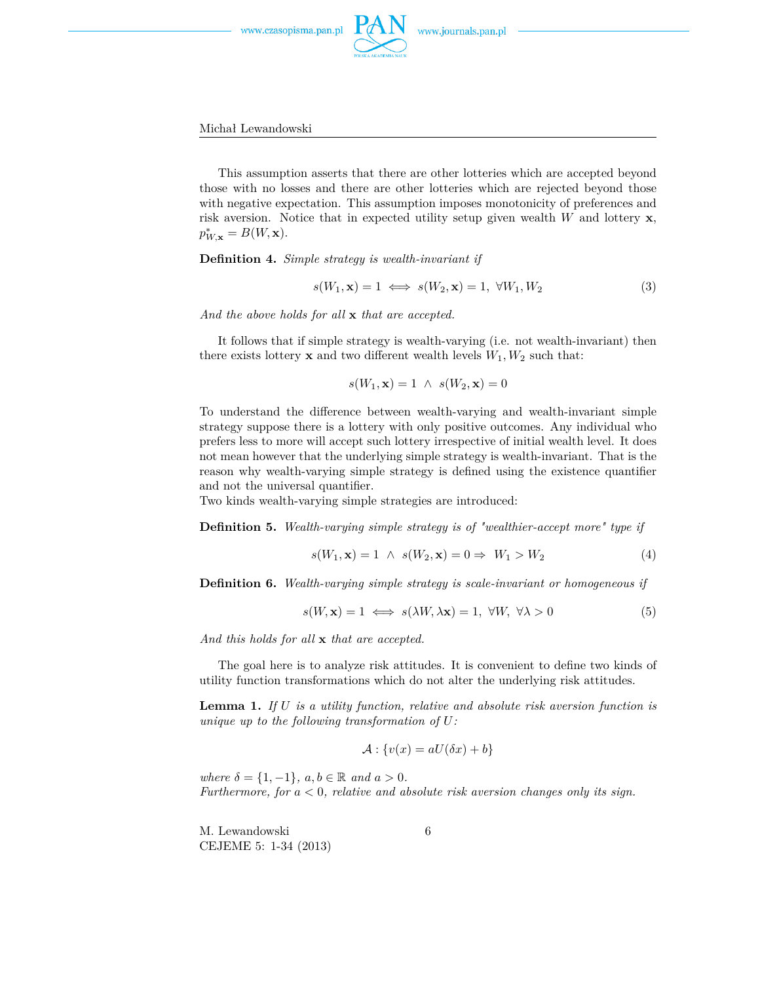



This assumption asserts that there are other lotteries which are accepted beyond those with no losses and there are other lotteries which are rejected beyond those with negative expectation. This assumption imposes monotonicity of preferences and risk aversion. Notice that in expected utility setup given wealth *W* and lottery **x**,  $p_{W,\mathbf{x}}^* = B(W,\mathbf{x}).$ 

**Definition 4.** *Simple strategy is wealth-invariant if*

$$
s(W_1, \mathbf{x}) = 1 \iff s(W_2, \mathbf{x}) = 1, \ \forall W_1, W_2 \tag{3}
$$

*And the above holds for all* **x** *that are accepted.*

It follows that if simple strategy is wealth-varying (i.e. not wealth-invariant) then there exists lottery **x** and two different wealth levels  $W_1, W_2$  such that:

$$
s(W_1, \mathbf{x}) = 1 \ \wedge \ s(W_2, \mathbf{x}) = 0
$$

To understand the difference between wealth-varying and wealth-invariant simple strategy suppose there is a lottery with only positive outcomes. Any individual who prefers less to more will accept such lottery irrespective of initial wealth level. It does not mean however that the underlying simple strategy is wealth-invariant. That is the reason why wealth-varying simple strategy is defined using the existence quantifier and not the universal quantifier.

Two kinds wealth-varying simple strategies are introduced:

**Definition 5.** *Wealth-varying simple strategy is of "wealthier-accept more" type if*

$$
s(W_1, \mathbf{x}) = 1 \quad \land \quad s(W_2, \mathbf{x}) = 0 \Rightarrow W_1 > W_2 \tag{4}
$$

**Definition 6.** *Wealth-varying simple strategy is scale-invariant or homogeneous if*

$$
s(W, \mathbf{x}) = 1 \iff s(\lambda W, \lambda \mathbf{x}) = 1, \ \forall W, \ \forall \lambda > 0 \tag{5}
$$

*And this holds for all* **x** *that are accepted.*

The goal here is to analyze risk attitudes. It is convenient to define two kinds of utility function transformations which do not alter the underlying risk attitudes.

**Lemma 1.** *If U is a utility function, relative and absolute risk aversion function is unique up to the following transformation of U:*

$$
\mathcal{A}: \{v(x) = aU(\delta x) + b\}
$$

*where*  $\delta = \{1, -1\}$ *,*  $a, b \in \mathbb{R}$  *and*  $a > 0$ *. Furthermore, for a <* 0*, relative and absolute risk aversion changes only its sign.*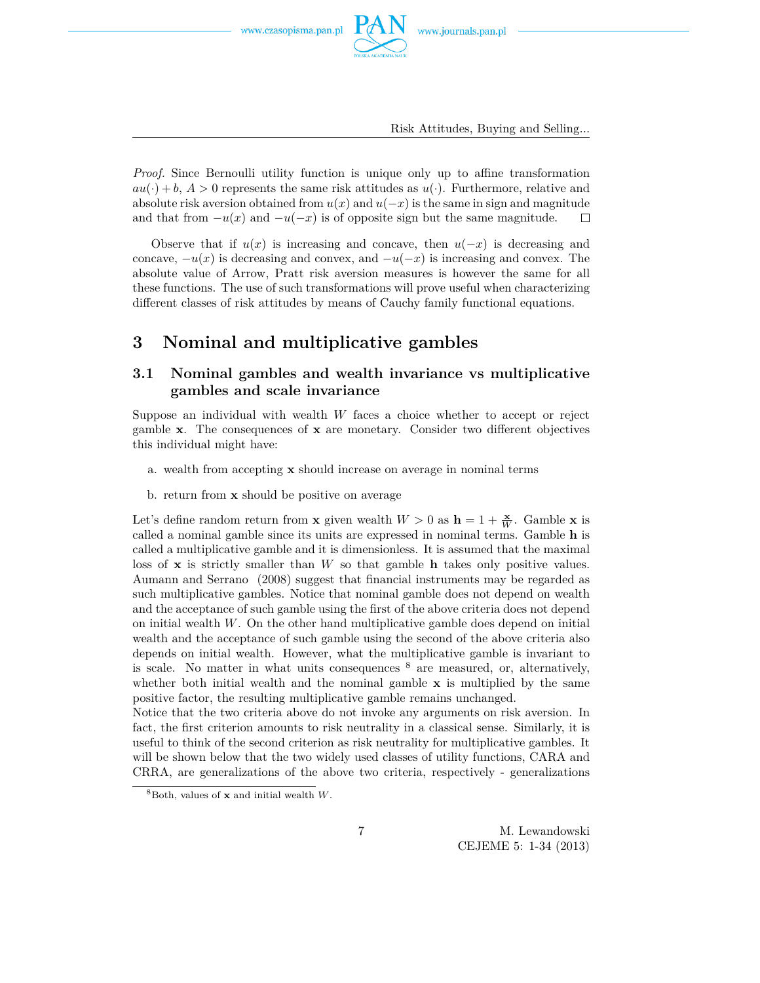Risk Attitudes, Buying and Selling...

*Proof.* Since Bernoulli utility function is unique only up to affine transformation  $au(\cdot) + b$ ,  $A > 0$  represents the same risk attitudes as  $u(\cdot)$ . Furthermore, relative and absolute risk aversion obtained from  $u(x)$  and  $u(-x)$  is the same in sign and magnitude and that from  $-u(x)$  and  $-u(-x)$  is of opposite sign but the same magnitude. П

Observe that if  $u(x)$  is increasing and concave, then  $u(-x)$  is decreasing and concave,  $-u(x)$  is decreasing and convex, and  $-u(-x)$  is increasing and convex. The absolute value of Arrow, Pratt risk aversion measures is however the same for all these functions. The use of such transformations will prove useful when characterizing different classes of risk attitudes by means of Cauchy family functional equations.

## **3 Nominal and multiplicative gambles**

### **3.1 Nominal gambles and wealth invariance vs multiplicative gambles and scale invariance**

Suppose an individual with wealth *W* faces a choice whether to accept or reject gamble **x**. The consequences of **x** are monetary. Consider two different objectives this individual might have:

- a. wealth from accepting **x** should increase on average in nominal terms
- b. return from **x** should be positive on average

Let's define random return from **x** given wealth  $W > 0$  as  $h = 1 + \frac{\mathbf{x}}{W}$ . Gamble **x** is called a nominal gamble since its units are expressed in nominal terms. Gamble **h** is called a multiplicative gamble and it is dimensionless. It is assumed that the maximal loss of **x** is strictly smaller than *W* so that gamble **h** takes only positive values. Aumann and Serrano (2008) suggest that financial instruments may be regarded as such multiplicative gambles. Notice that nominal gamble does not depend on wealth and the acceptance of such gamble using the first of the above criteria does not depend on initial wealth *W*. On the other hand multiplicative gamble does depend on initial wealth and the acceptance of such gamble using the second of the above criteria also depends on initial wealth. However, what the multiplicative gamble is invariant to is scale. No matter in what units consequences  $\delta$  are measured, or, alternatively, whether both initial wealth and the nominal gamble **x** is multiplied by the same positive factor, the resulting multiplicative gamble remains unchanged.

Notice that the two criteria above do not invoke any arguments on risk aversion. In fact, the first criterion amounts to risk neutrality in a classical sense. Similarly, it is useful to think of the second criterion as risk neutrality for multiplicative gambles. It will be shown below that the two widely used classes of utility functions, CARA and CRRA, are generalizations of the above two criteria, respectively - generalizations

<sup>8</sup>Both, values of **x** and initial wealth *W*.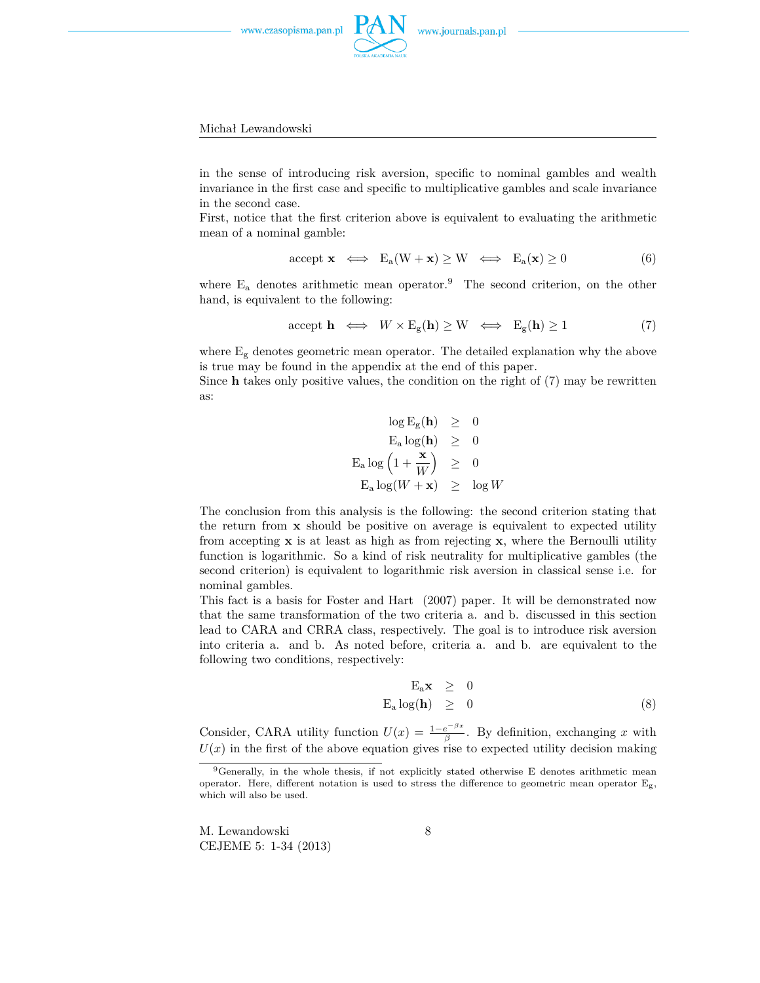

in the sense of introducing risk aversion, specific to nominal gambles and wealth invariance in the first case and specific to multiplicative gambles and scale invariance in the second case.

First, notice that the first criterion above is equivalent to evaluating the arithmetic mean of a nominal gamble:

accept 
$$
\mathbf{x} \iff E_a(W + \mathbf{x}) \ge W \iff E_a(\mathbf{x}) \ge 0
$$
 (6)

where  $E_a$  denotes arithmetic mean operator.<sup>9</sup> The second criterion, on the other hand, is equivalent to the following:

accept 
$$
\mathbf{h} \iff W \times E_{\mathbf{g}}(\mathbf{h}) \geq W \iff E_{\mathbf{g}}(\mathbf{h}) \geq 1
$$
 (7)

where  $E<sub>g</sub>$  denotes geometric mean operator. The detailed explanation why the above is true may be found in the appendix at the end of this paper.

Since **h** takes only positive values, the condition on the right of (7) may be rewritten as:

$$
\log E_{\rm g}(\mathbf{h}) \geq 0
$$
  
\n
$$
E_{\rm a} \log(\mathbf{h}) \geq 0
$$
  
\n
$$
E_{\rm a} \log(1 + \frac{\mathbf{x}}{W}) \geq 0
$$
  
\n
$$
E_{\rm a} \log(W + \mathbf{x}) \geq \log W
$$

The conclusion from this analysis is the following: the second criterion stating that the return from **x** should be positive on average is equivalent to expected utility from accepting **x** is at least as high as from rejecting **x**, where the Bernoulli utility function is logarithmic. So a kind of risk neutrality for multiplicative gambles (the second criterion) is equivalent to logarithmic risk aversion in classical sense i.e. for nominal gambles.

This fact is a basis for Foster and Hart (2007) paper. It will be demonstrated now that the same transformation of the two criteria a. and b. discussed in this section lead to CARA and CRRA class, respectively. The goal is to introduce risk aversion into criteria a. and b. As noted before, criteria a. and b. are equivalent to the following two conditions, respectively:

$$
E_a \mathbf{x} \geq 0
$$
  
\n
$$
E_a \log(\mathbf{h}) \geq 0
$$
 (8)

Consider, CARA utility function  $U(x) = \frac{1-e^{-\beta x}}{a}$ *β* . By definition, exchanging *x* with  $U(x)$  in the first of the above equation gives rise to expected utility decision making

<sup>&</sup>lt;sup>9</sup>Generally, in the whole thesis, if not explicitly stated otherwise E denotes arithmetic mean operator. Here, different notation is used to stress the difference to geometric mean operator  $E_g$ , which will also be used.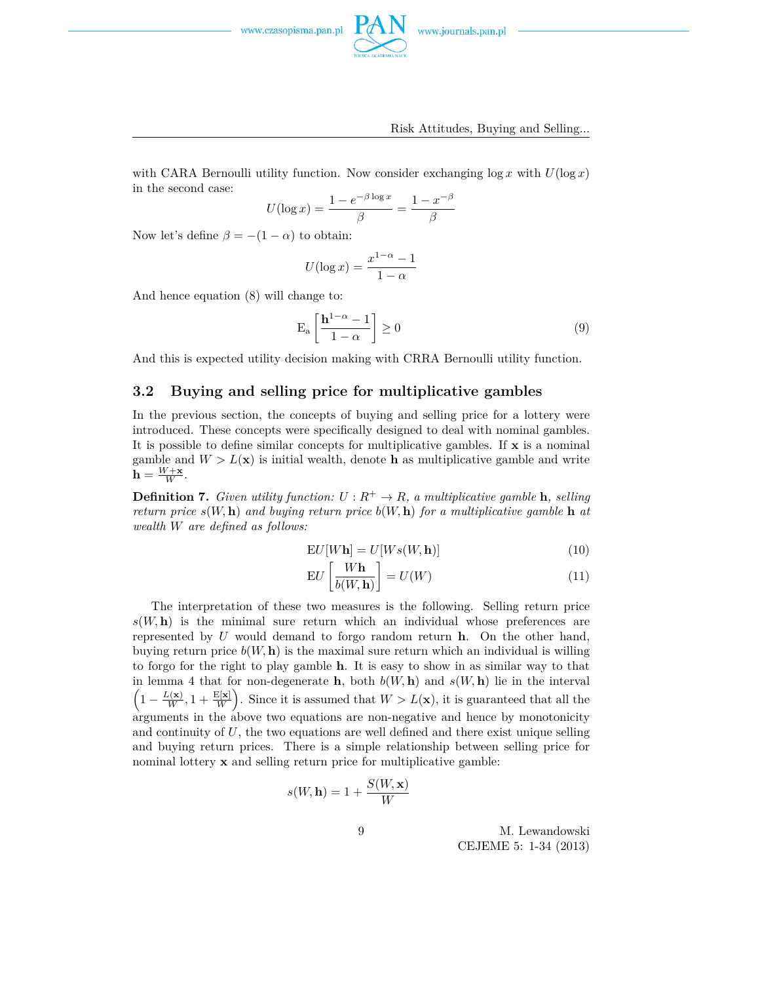

Risk Attitudes, Buying and Selling...

with CARA Bernoulli utility function. Now consider exchanging  $\log x$  with  $U(\log x)$ in the second case:

$$
U(\log x) = \frac{1 - e^{-\beta \log x}}{\beta} = \frac{1 - x^{-\beta}}{\beta}
$$

Now let's define  $\beta = -(1 - \alpha)$  to obtain:

$$
U(\log x) = \frac{x^{1-\alpha} - 1}{1 - \alpha}
$$

And hence equation (8) will change to:

$$
E_a \left[ \frac{\mathbf{h}^{1-\alpha} - 1}{1-\alpha} \right] \ge 0 \tag{9}
$$

And this is expected utility decision making with CRRA Bernoulli utility function.

#### **3.2 Buying and selling price for multiplicative gambles**

In the previous section, the concepts of buying and selling price for a lottery were introduced. These concepts were specifically designed to deal with nominal gambles. It is possible to define similar concepts for multiplicative gambles. If  $x$  is a nominal gamble and  $W > L(\mathbf{x})$  is initial wealth, denote **h** as multiplicative gamble and write  $h = \frac{W + \mathbf{x}}{W}$ .

**Definition 7.** *Given utility function:*  $U: R^+ \to R$ *, a multiplicative gamble* **h***, selling return price*  $s(W, h)$  *and buying return price*  $b(W, h)$  *for a multiplicative gamble* **h** *at wealth W are defined as follows:*

$$
EU[Wh] = U[Ws(W, \mathbf{h})]
$$
\n(10)

$$
EU\left[\frac{W\mathbf{h}}{b(W,\mathbf{h})}\right] = U(W) \tag{11}
$$

The interpretation of these two measures is the following. Selling return price  $s(W, h)$  is the minimal sure return which an individual whose preferences are represented by *U* would demand to forgo random return **h**. On the other hand, buying return price  $b(W, h)$  is the maximal sure return which an individual is willing to forgo for the right to play gamble **h**. It is easy to show in as similar way to that in lemma 4 that for non-degenerate **h**, both  $b(W, \mathbf{h})$  and  $s(W, \mathbf{h})$  lie in the interval  $\left(1 - \frac{L(\mathbf{x})}{W}, 1 + \frac{E[\mathbf{x}]}{W}\right)$ . Since it is assumed that  $W > L(\mathbf{x})$ , it is guaranteed that all the arguments in the above two equations are non-negative and hence by monotonicity and continuity of *U*, the two equations are well defined and there exist unique selling and buying return prices. There is a simple relationship between selling price for nominal lottery **x** and selling return price for multiplicative gamble:

$$
s(W, \mathbf{h}) = 1 + \frac{S(W, \mathbf{x})}{W}
$$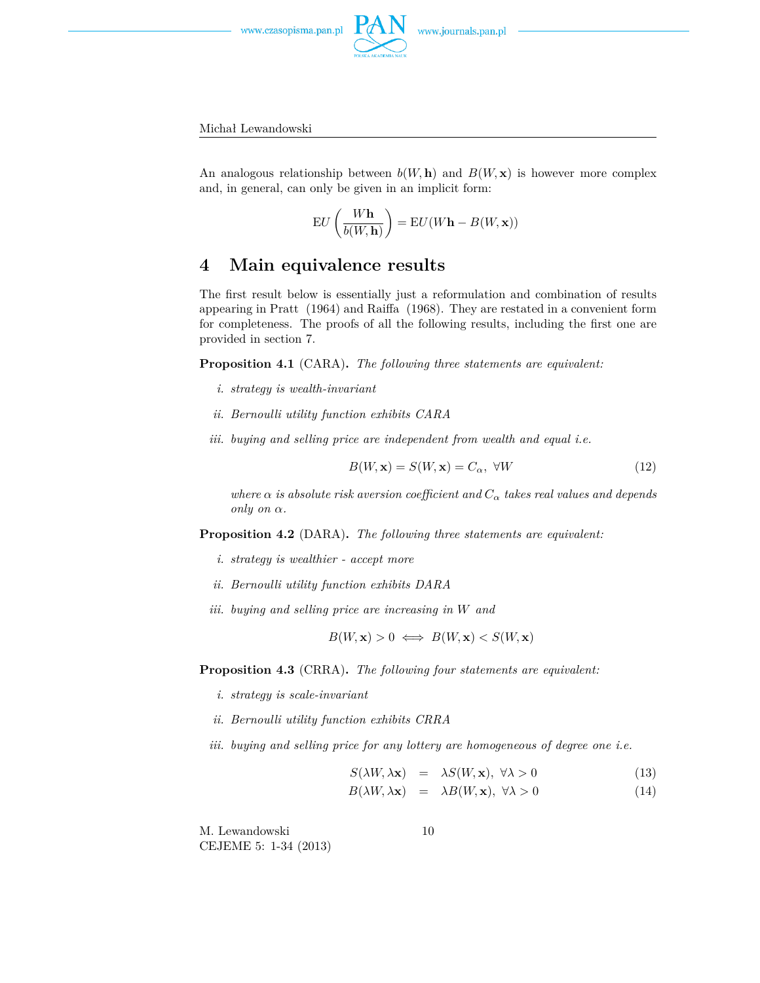

Michał Lewandowski

An analogous relationship between  $b(W, h)$  and  $B(W, x)$  is however more complex and, in general, can only be given in an implicit form:

$$
\mathbf{E}U\left(\frac{W\mathbf{h}}{b(W,\mathbf{h})}\right) = \mathbf{E}U(W\mathbf{h} - B(W,\mathbf{x}))
$$

## **4 Main equivalence results**

The first result below is essentially just a reformulation and combination of results appearing in Pratt (1964) and Raiffa (1968). They are restated in a convenient form for completeness. The proofs of all the following results, including the first one are provided in section 7.

**Proposition 4.1** (CARA)**.** *The following three statements are equivalent:*

- *i. strategy is wealth-invariant*
- *ii. Bernoulli utility function exhibits CARA*
- *iii. buying and selling price are independent from wealth and equal i.e.*

$$
B(W, \mathbf{x}) = S(W, \mathbf{x}) = C_{\alpha}, \ \forall W \tag{12}
$$

*where*  $\alpha$  *is absolute risk aversion coefficient and*  $C_{\alpha}$  *takes real values and depends only on α.*

**Proposition 4.2** (DARA)**.** *The following three statements are equivalent:*

- *i. strategy is wealthier accept more*
- *ii. Bernoulli utility function exhibits DARA*
- *iii. buying and selling price are increasing in W and*

 $B(W, \mathbf{x}) > 0 \iff B(W, \mathbf{x}) < S(W, \mathbf{x})$ 

**Proposition 4.3** (CRRA)**.** *The following four statements are equivalent:*

- *i. strategy is scale-invariant*
- *ii. Bernoulli utility function exhibits CRRA*
- *iii. buying and selling price for any lottery are homogeneous of degree one i.e.*

$$
S(\lambda W, \lambda \mathbf{x}) = \lambda S(W, \mathbf{x}), \forall \lambda > 0
$$
\n(13)

 $B(\lambda W, \lambda \mathbf{x}) = \lambda B(W, \mathbf{x}), \forall \lambda > 0$  (14)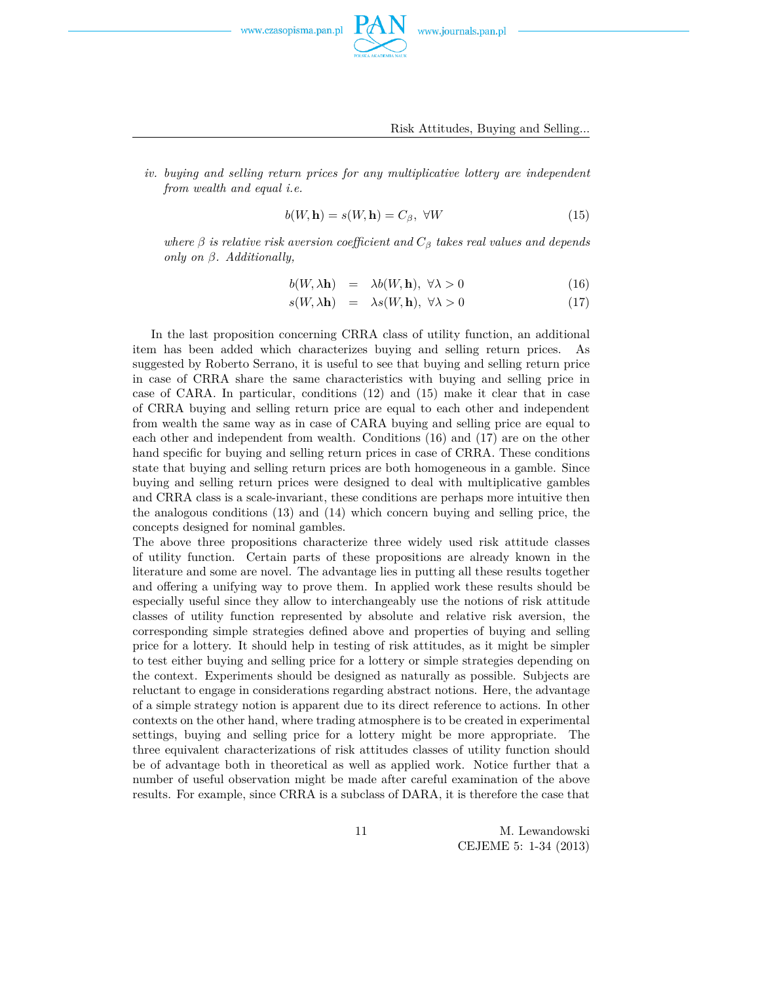

Risk Attitudes, Buying and Selling...

*iv. buying and selling return prices for any multiplicative lottery are independent from wealth and equal i.e.*

$$
b(W, \mathbf{h}) = s(W, \mathbf{h}) = C_{\beta}, \ \forall W \tag{15}
$$

*where β is relative risk aversion coefficient and C<sup>β</sup> takes real values and depends only on β. Additionally,*

$$
b(W, \lambda \mathbf{h}) = \lambda b(W, \mathbf{h}), \ \forall \lambda > 0 \tag{16}
$$

$$
s(W, \lambda \mathbf{h}) = \lambda s(W, \mathbf{h}), \forall \lambda > 0 \tag{17}
$$

In the last proposition concerning CRRA class of utility function, an additional item has been added which characterizes buying and selling return prices. As suggested by Roberto Serrano, it is useful to see that buying and selling return price in case of CRRA share the same characteristics with buying and selling price in case of CARA. In particular, conditions (12) and (15) make it clear that in case of CRRA buying and selling return price are equal to each other and independent from wealth the same way as in case of CARA buying and selling price are equal to each other and independent from wealth. Conditions (16) and (17) are on the other hand specific for buying and selling return prices in case of CRRA. These conditions state that buying and selling return prices are both homogeneous in a gamble. Since buying and selling return prices were designed to deal with multiplicative gambles and CRRA class is a scale-invariant, these conditions are perhaps more intuitive then the analogous conditions (13) and (14) which concern buying and selling price, the concepts designed for nominal gambles.

The above three propositions characterize three widely used risk attitude classes of utility function. Certain parts of these propositions are already known in the literature and some are novel. The advantage lies in putting all these results together and offering a unifying way to prove them. In applied work these results should be especially useful since they allow to interchangeably use the notions of risk attitude classes of utility function represented by absolute and relative risk aversion, the corresponding simple strategies defined above and properties of buying and selling price for a lottery. It should help in testing of risk attitudes, as it might be simpler to test either buying and selling price for a lottery or simple strategies depending on the context. Experiments should be designed as naturally as possible. Subjects are reluctant to engage in considerations regarding abstract notions. Here, the advantage of a simple strategy notion is apparent due to its direct reference to actions. In other contexts on the other hand, where trading atmosphere is to be created in experimental settings, buying and selling price for a lottery might be more appropriate. The three equivalent characterizations of risk attitudes classes of utility function should be of advantage both in theoretical as well as applied work. Notice further that a number of useful observation might be made after careful examination of the above results. For example, since CRRA is a subclass of DARA, it is therefore the case that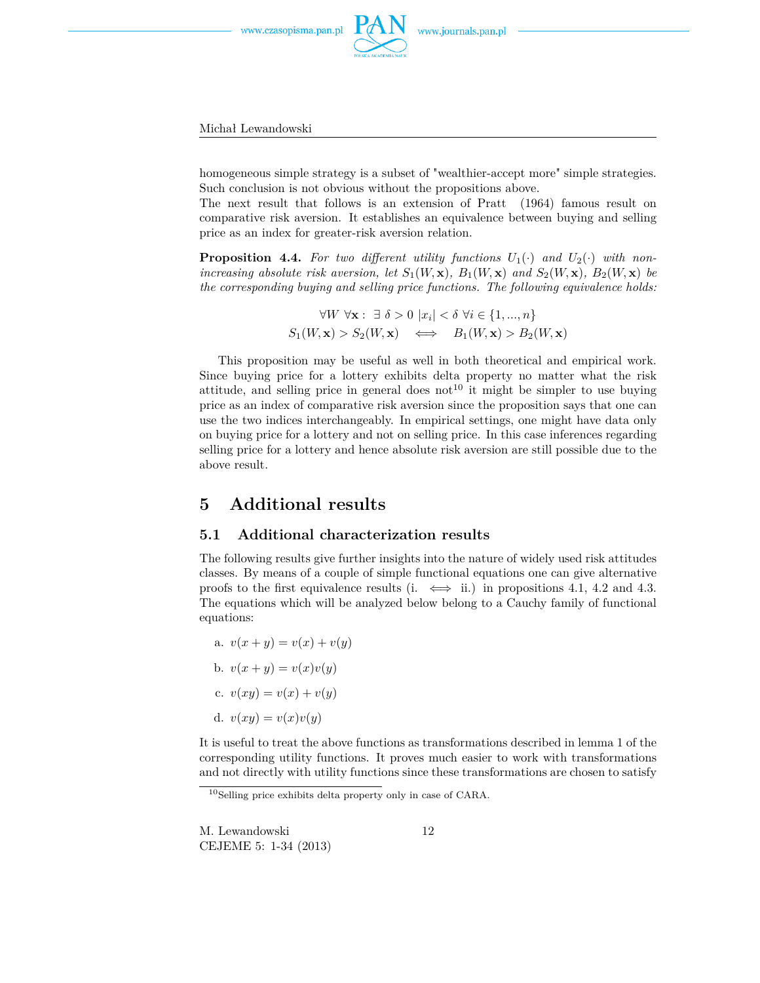



Michał Lewandowski

homogeneous simple strategy is a subset of "wealthier-accept more" simple strategies. Such conclusion is not obvious without the propositions above.

The next result that follows is an extension of Pratt (1964) famous result on comparative risk aversion. It establishes an equivalence between buying and selling price as an index for greater-risk aversion relation.

**Proposition 4.4.** For two different utility functions  $U_1(\cdot)$  and  $U_2(\cdot)$  with non*increasing absolute risk aversion, let*  $S_1(W, \mathbf{x})$ *,*  $B_1(W, \mathbf{x})$  *and*  $S_2(W, \mathbf{x})$ *,*  $B_2(W, \mathbf{x})$  *be the corresponding buying and selling price functions. The following equivalence holds:*

$$
\forall W \,\,\forall \mathbf{x}: \,\,\exists \,\,\delta > 0 \,\, |x_i| < \delta \,\,\forall i \in \{1, \dots, n\}
$$
\n
$$
S_1(W, \mathbf{x}) > S_2(W, \mathbf{x}) \quad \Longleftrightarrow \quad B_1(W, \mathbf{x}) > B_2(W, \mathbf{x})
$$

This proposition may be useful as well in both theoretical and empirical work. Since buying price for a lottery exhibits delta property no matter what the risk attitude, and selling price in general does not<sup>10</sup> it might be simpler to use buying price as an index of comparative risk aversion since the proposition says that one can use the two indices interchangeably. In empirical settings, one might have data only on buying price for a lottery and not on selling price. In this case inferences regarding selling price for a lottery and hence absolute risk aversion are still possible due to the above result.

### **5 Additional results**

#### **5.1 Additional characterization results**

The following results give further insights into the nature of widely used risk attitudes classes. By means of a couple of simple functional equations one can give alternative proofs to the first equivalence results (i.  $\iff$  ii.) in propositions 4.1, 4.2 and 4.3. The equations which will be analyzed below belong to a Cauchy family of functional equations:

a.  $v(x + y) = v(x) + v(y)$ b.  $v(x + y) = v(x)v(y)$ c.  $v(xy) = v(x) + v(y)$ d.  $v(xy) = v(x)v(y)$ 

It is useful to treat the above functions as transformations described in lemma 1 of the corresponding utility functions. It proves much easier to work with transformations and not directly with utility functions since these transformations are chosen to satisfy

<sup>10</sup>Selling price exhibits delta property only in case of CARA.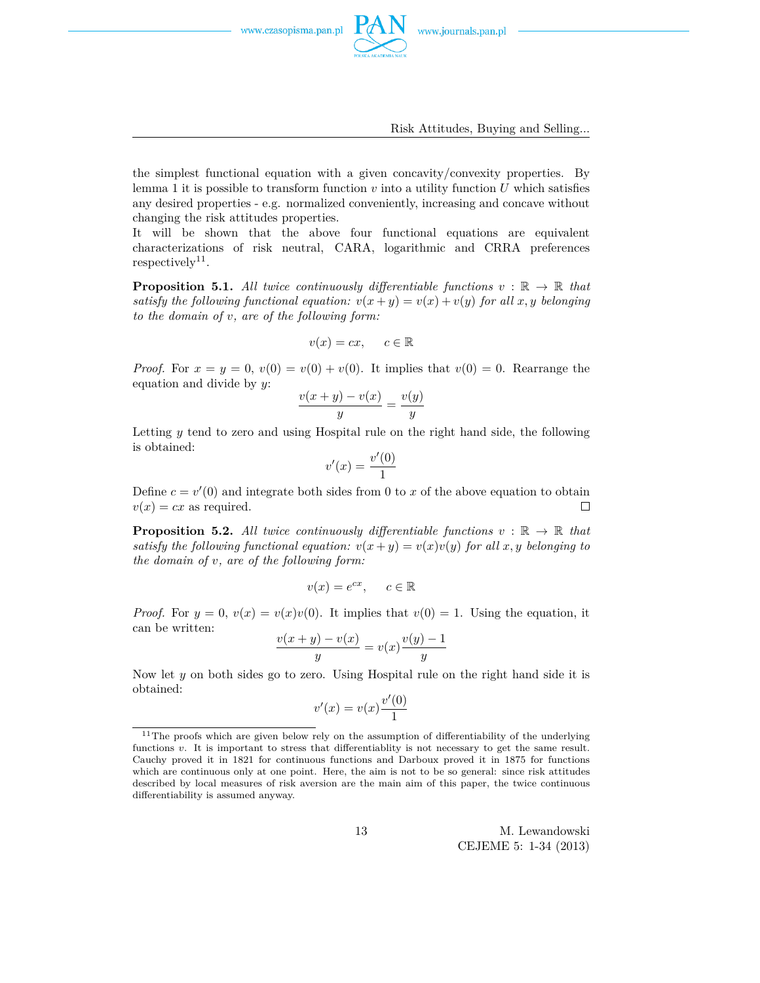

Risk Attitudes, Buying and Selling...

the simplest functional equation with a given concavity/convexity properties. By lemma 1 it is possible to transform function *v* into a utility function *U* which satisfies any desired properties - e.g. normalized conveniently, increasing and concave without changing the risk attitudes properties.

It will be shown that the above four functional equations are equivalent characterizations of risk neutral, CARA, logarithmic and CRRA preferences  $respectively<sup>11</sup>.$ 

**Proposition 5.1.** All twice continuously differentiable functions  $v : \mathbb{R} \to \mathbb{R}$  that *satisfy the following functional equation:*  $v(x + y) = v(x) + v(y)$  *for all x, y belonging to the domain of v, are of the following form:*

$$
v(x) = cx, \quad c \in \mathbb{R}
$$

*Proof.* For  $x = y = 0$ ,  $v(0) = v(0) + v(0)$ . It implies that  $v(0) = 0$ . Rearrange the equation and divide by *y*:

$$
\frac{v(x+y) - v(x)}{y} = \frac{v(y)}{y}
$$

Letting *y* tend to zero and using Hospital rule on the right hand side, the following is obtained:

$$
v'(x) = \frac{v'(0)}{1}
$$

Define  $c = v'(0)$  and integrate both sides from 0 to *x* of the above equation to obtain  $v(x) = cx$  as required.  $\Box$ 

**Proposition 5.2.** All twice continuously differentiable functions  $v : \mathbb{R} \to \mathbb{R}$  that *satisfy the following functional equation:*  $v(x + y) = v(x)v(y)$  *for all x, y belonging to the domain of v, are of the following form:*

$$
v(x) = e^{cx}, \quad c \in \mathbb{R}
$$

*Proof.* For  $y = 0$ ,  $v(x) = v(x)v(0)$ . It implies that  $v(0) = 1$ . Using the equation, it can be written:

$$
\frac{v(x+y) - v(x)}{y} = v(x)\frac{v(y) - 1}{y}
$$

Now let *y* on both sides go to zero. Using Hospital rule on the right hand side it is obtained:

$$
v'(x) = v(x)\frac{v'(0)}{1}
$$

 $11$ The proofs which are given below rely on the assumption of differentiability of the underlying functions *v*. It is important to stress that differentiablity is not necessary to get the same result. Cauchy proved it in 1821 for continuous functions and Darboux proved it in 1875 for functions which are continuous only at one point. Here, the aim is not to be so general: since risk attitudes described by local measures of risk aversion are the main aim of this paper, the twice continuous differentiability is assumed anyway.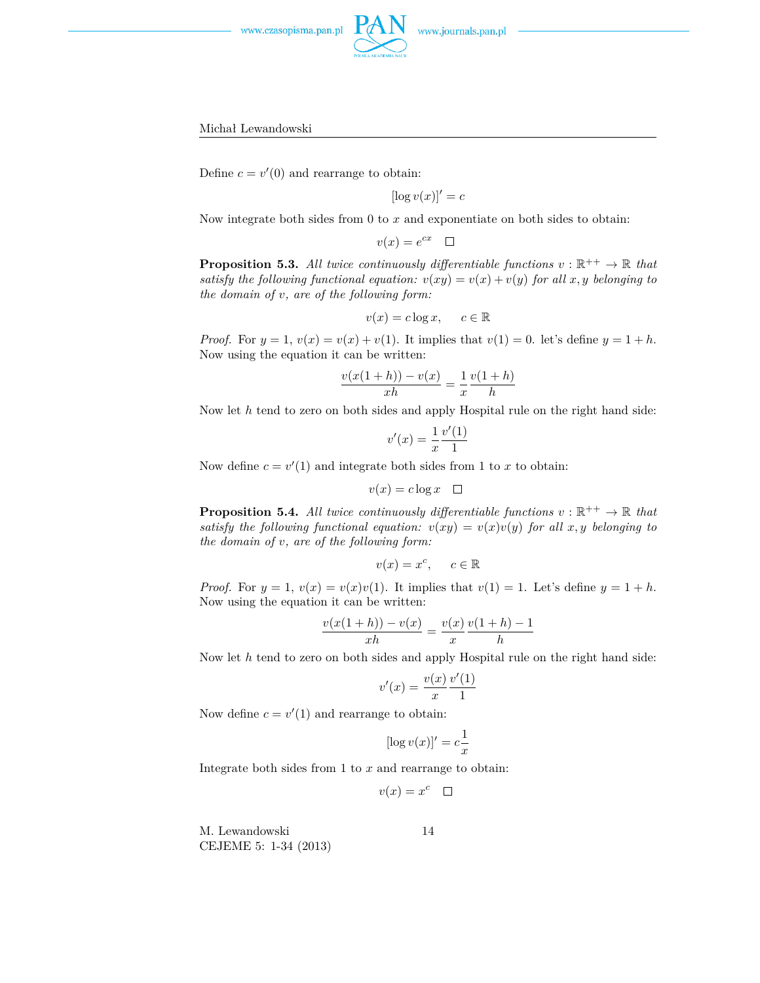

Michał Lewandowski

Define  $c = v'(0)$  and rearrange to obtain:

$$
[\log v(x)]' = c
$$

Now integrate both sides from 0 to *x* and exponentiate on both sides to obtain:

$$
v(x) = e^{cx} \quad \Box
$$

**Proposition 5.3.** All twice continuously differentiable functions  $v : \mathbb{R}^{++} \to \mathbb{R}$  that *satisfy the following functional equation:*  $v(xy) = v(x) + v(y)$  *for all x, y belonging to the domain of v, are of the following form:*

$$
v(x) = c \log x, \quad c \in \mathbb{R}
$$

*Proof.* For  $y = 1$ ,  $v(x) = v(x) + v(1)$ . It implies that  $v(1) = 0$ . let's define  $y = 1 + h$ . Now using the equation it can be written:

$$
\frac{v(x(1+h)) - v(x)}{xh} = \frac{1}{x} \frac{v(1+h)}{h}
$$

Now let *h* tend to zero on both sides and apply Hospital rule on the right hand side:

$$
v'(x) = \frac{1}{x} \frac{v'(1)}{1}
$$

Now define  $c = v'(1)$  and integrate both sides from 1 to *x* to obtain:

$$
v(x) = c \log x \quad \Box
$$

**Proposition 5.4.** All twice continuously differentiable functions  $v : \mathbb{R}^{++} \to \mathbb{R}$  that *satisfy the following functional equation:*  $v(xy) = v(x)v(y)$  *for all x, y belonging to the domain of v, are of the following form:*

$$
v(x) = x^c, \quad c \in \mathbb{R}
$$

*Proof.* For  $y = 1$ ,  $v(x) = v(x)v(1)$ . It implies that  $v(1) = 1$ . Let's define  $y = 1 + h$ . Now using the equation it can be written:

$$
\frac{v(x(1+h)) - v(x)}{xh} = \frac{v(x)}{x} \frac{v(1+h) - 1}{h}
$$

Now let *h* tend to zero on both sides and apply Hospital rule on the right hand side:

$$
v'(x) = \frac{v(x)}{x} \frac{v'(1)}{1}
$$

Now define  $c = v'(1)$  and rearrange to obtain:

$$
[\log v(x)]' = c\frac{1}{x}
$$

Integrate both sides from 1 to *x* and rearrange to obtain:

$$
v(x) = x^c \quad \Box
$$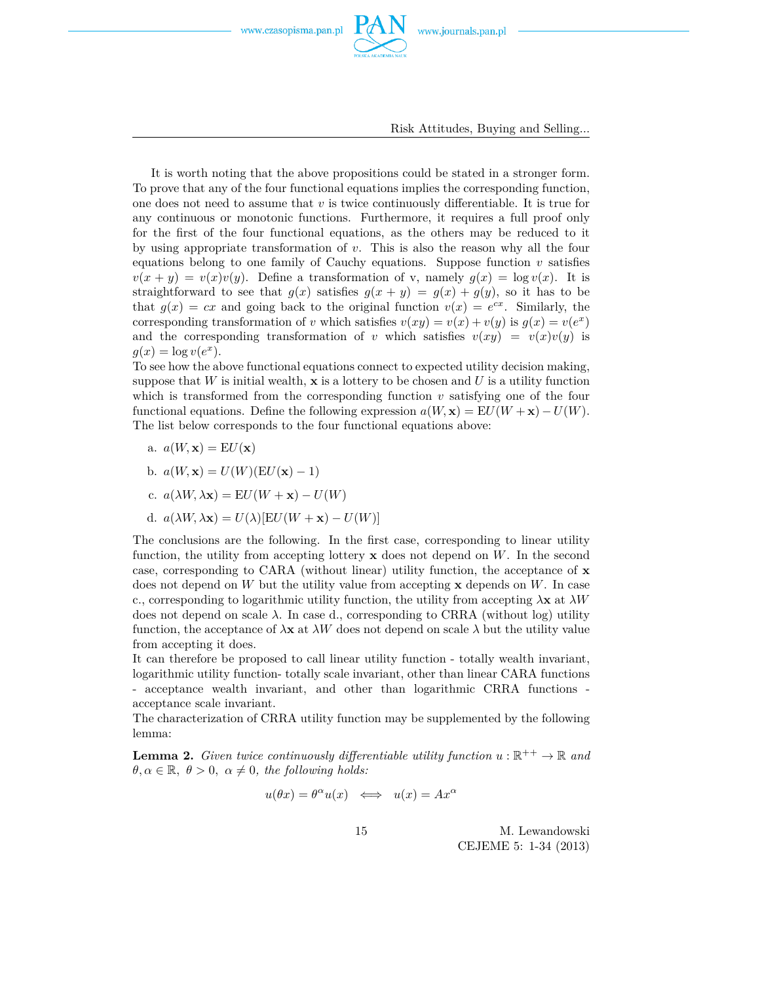

Risk Attitudes, Buying and Selling...

It is worth noting that the above propositions could be stated in a stronger form. To prove that any of the four functional equations implies the corresponding function, one does not need to assume that *v* is twice continuously differentiable. It is true for any continuous or monotonic functions. Furthermore, it requires a full proof only for the first of the four functional equations, as the others may be reduced to it by using appropriate transformation of *v*. This is also the reason why all the four equations belong to one family of Cauchy equations. Suppose function  $v$  satisfies  $v(x + y) = v(x)v(y)$ . Define a transformation of v, namely  $g(x) = \log v(x)$ . It is straightforward to see that  $g(x)$  satisfies  $g(x + y) = g(x) + g(y)$ , so it has to be that  $g(x) = cx$  and going back to the original function  $v(x) = e^{cx}$ . Similarly, the corresponding transformation of *v* which satisfies  $v(xy) = v(x) + v(y)$  is  $g(x) = v(e^x)$ and the corresponding transformation of *v* which satisfies  $v(xy) = v(x)v(y)$  is  $g(x) = \log v(e^x)$ .

To see how the above functional equations connect to expected utility decision making, suppose that *W* is initial wealth, **x** is a lottery to be chosen and *U* is a utility function which is transformed from the corresponding function *v* satisfying one of the four functional equations. Define the following expression  $a(W, x) = EU(W + x) - U(W)$ . The list below corresponds to the four functional equations above:

- a.  $a(W, \mathbf{x}) = EU(\mathbf{x})$
- b.  $a(W, x) = U(W)(EU(x) 1)$
- c.  $a(\lambda W, \lambda \mathbf{x}) = EU(W + \mathbf{x}) U(W)$
- d.  $a(\lambda W, \lambda \mathbf{x}) = U(\lambda)[EU(W + \mathbf{x}) U(W)]$

The conclusions are the following. In the first case, corresponding to linear utility function, the utility from accepting lottery **x** does not depend on *W*. In the second case, corresponding to CARA (without linear) utility function, the acceptance of **x** does not depend on *W* but the utility value from accepting **x** depends on *W*. In case c., corresponding to logarithmic utility function, the utility from accepting *λ***x** at *λW* does not depend on scale  $\lambda$ . In case d., corresponding to CRRA (without log) utility function, the acceptance of  $\lambda \mathbf{x}$  at  $\lambda W$  does not depend on scale  $\lambda$  but the utility value from accepting it does.

It can therefore be proposed to call linear utility function - totally wealth invariant, logarithmic utility function- totally scale invariant, other than linear CARA functions - acceptance wealth invariant, and other than logarithmic CRRA functions acceptance scale invariant.

The characterization of CRRA utility function may be supplemented by the following lemma:

**Lemma 2.** *Given twice continuously differentiable utility function*  $u : \mathbb{R}^{++} \to \mathbb{R}$  and  $\theta, \alpha \in \mathbb{R}, \ \theta > 0, \ \alpha \neq 0, \ the \ following \ holds:$ 

$$
u(\theta x) = \theta^{\alpha} u(x) \iff u(x) = Ax^{\alpha}
$$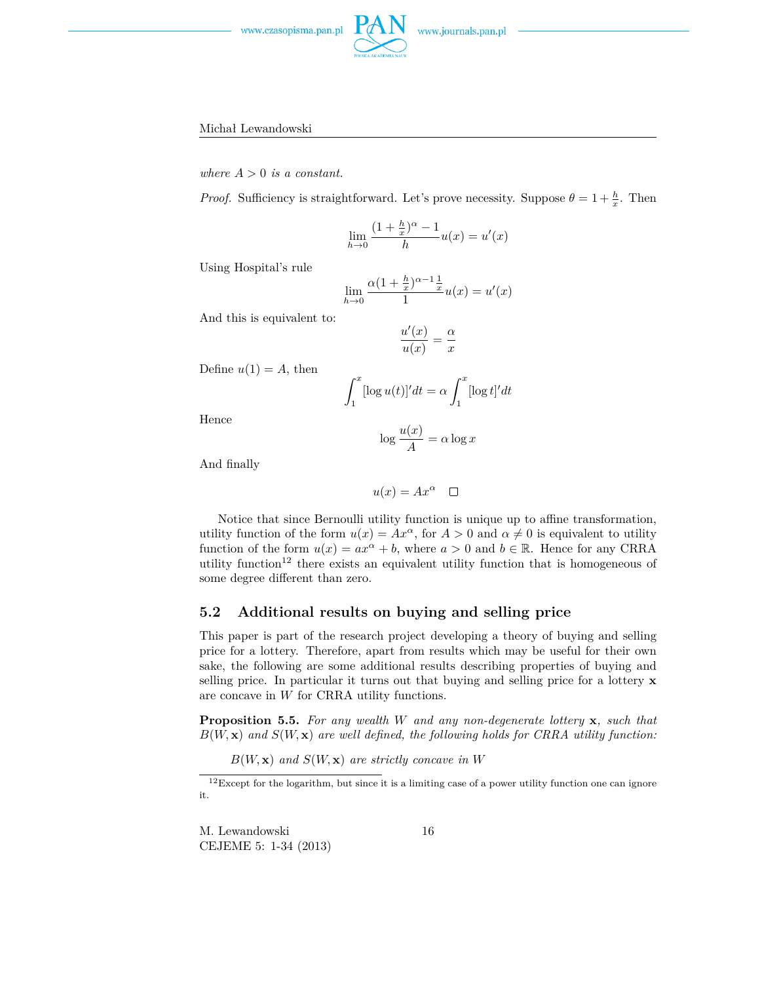

#### Michał Lewandowski

*where*  $A > 0$  *is a constant.* 

*Proof.* Sufficiency is straightforward. Let's prove necessity. Suppose  $\theta = 1 + \frac{h}{x}$ . Then

$$
\lim_{h \to 0} \frac{(1 + \frac{h}{x})^{\alpha} - 1}{h} u(x) = u'(x)
$$

Using Hospital's rule

$$
\lim_{h \to 0} \frac{\alpha (1 + \frac{h}{x})^{\alpha - 1} \frac{1}{x}}{1} u(x) = u'(x)
$$

And this is equivalent to:

$$
\frac{u'(x)}{u(x)} = \frac{\alpha}{x}
$$

Define  $u(1) = A$ , then

$$
\int_1^x [\log u(t)]' dt = \alpha \int_1^x [\log t]' dt
$$

Hence

$$
\log \frac{u(x)}{A} = \alpha \log x
$$

And finally

$$
u(x) = Ax^{\alpha} \quad \Box
$$

Notice that since Bernoulli utility function is unique up to affine transformation, utility function of the form  $u(x) = Ax^{\alpha}$ , for  $A > 0$  and  $\alpha \neq 0$  is equivalent to utility function of the form  $u(x) = ax^{\alpha} + b$ , where  $a > 0$  and  $b \in \mathbb{R}$ . Hence for any CRRA utility function<sup>12</sup> there exists an equivalent utility function that is homogeneous of some degree different than zero.

#### **5.2 Additional results on buying and selling price**

This paper is part of the research project developing a theory of buying and selling price for a lottery. Therefore, apart from results which may be useful for their own sake, the following are some additional results describing properties of buying and selling price. In particular it turns out that buying and selling price for a lottery **x** are concave in *W* for CRRA utility functions.

**Proposition 5.5.** *For any wealth W and any non-degenerate lottery* **x***, such that B*(*W,* **x**) *and S*(*W,* **x**) *are well defined, the following holds for CRRA utility function:*

*B*(*W,* **x**) *and S*(*W,* **x**) *are strictly concave in W*

<sup>&</sup>lt;sup>12</sup>Except for the logarithm, but since it is a limiting case of a power utility function one can ignore it.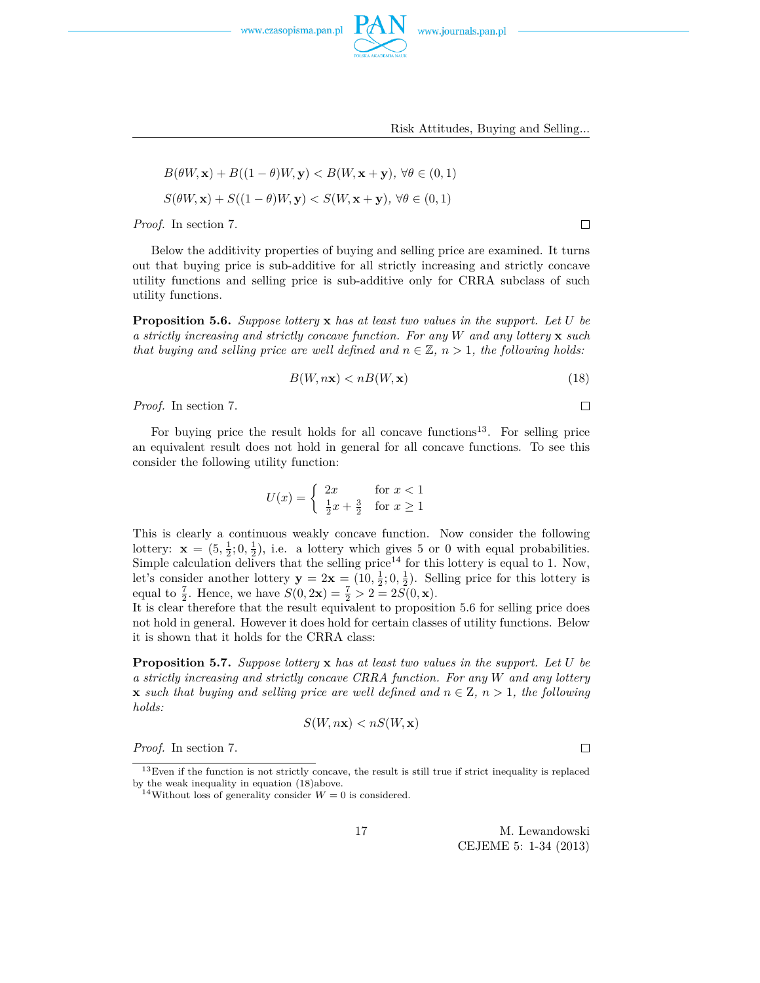Risk Attitudes, Buying and Selling...

$$
B(\theta W, \mathbf{x}) + B((1 - \theta)W, \mathbf{y}) < B(W, \mathbf{x} + \mathbf{y}), \forall \theta \in (0, 1)
$$
\n
$$
S(\theta W, \mathbf{x}) + S((1 - \theta)W, \mathbf{y}) < S(W, \mathbf{x} + \mathbf{y}), \forall \theta \in (0, 1)
$$

*Proof.* In section 7.

Below the additivity properties of buying and selling price are examined. It turns out that buying price is sub-additive for all strictly increasing and strictly concave utility functions and selling price is sub-additive only for CRRA subclass of such utility functions.

**Proposition 5.6.** *Suppose lottery* **x** *has at least two values in the support. Let U be a strictly increasing and strictly concave function. For any W and any lottery* **x** *such that buying and selling price are well defined and*  $n \in \mathbb{Z}$ ,  $n > 1$ , the following holds:

$$
B(W, n\mathbf{x}) < n(X, \mathbf{x}) \tag{18}
$$

*Proof.* In section 7.

For buying price the result holds for all concave functions<sup>13</sup>. For selling price an equivalent result does not hold in general for all concave functions. To see this consider the following utility function:

$$
U(x) = \begin{cases} 2x & \text{for } x < 1\\ \frac{1}{2}x + \frac{3}{2} & \text{for } x \ge 1 \end{cases}
$$

This is clearly a continuous weakly concave function. Now consider the following lottery:  $\mathbf{x} = (5, \frac{1}{2}, 0, \frac{1}{2})$ , i.e. a lottery which gives 5 or 0 with equal probabilities. Simple calculation delivers that the selling price<sup>14</sup> for this lottery is equal to 1. Now, let's consider another lottery  $y = 2x = (10, \frac{1}{2}; 0, \frac{1}{2})$ . Selling price for this lottery is equal to  $\frac{7}{2}$ . Hence, we have  $S(0, 2\mathbf{x}) = \frac{7}{2} > 2 = 2S(0, \mathbf{x})$ .

It is clear therefore that the result equivalent to proposition 5.6 for selling price does not hold in general. However it does hold for certain classes of utility functions. Below it is shown that it holds for the CRRA class:

**Proposition 5.7.** *Suppose lottery* **x** *has at least two values in the support. Let U be a strictly increasing and strictly concave CRRA function. For any W and any lottery* **x** *such that buying and selling price are well defined and*  $n \in \mathbb{Z}$ ,  $n > 1$ , the following *holds:*

$$
S(W, n\mathbf{x}) < nS(W, \mathbf{x})
$$

*Proof.* In section 7.

17 M. Lewandowski CEJEME 5: 1-34 (2013)

 $\Box$ 

 $\Box$ 

 $\Box$ 

<sup>&</sup>lt;sup>13</sup>Even if the function is not strictly concave, the result is still true if strict inequality is replaced by the weak inequality in equation (18)above.

<sup>&</sup>lt;sup>14</sup>Without loss of generality consider  $W = 0$  is considered.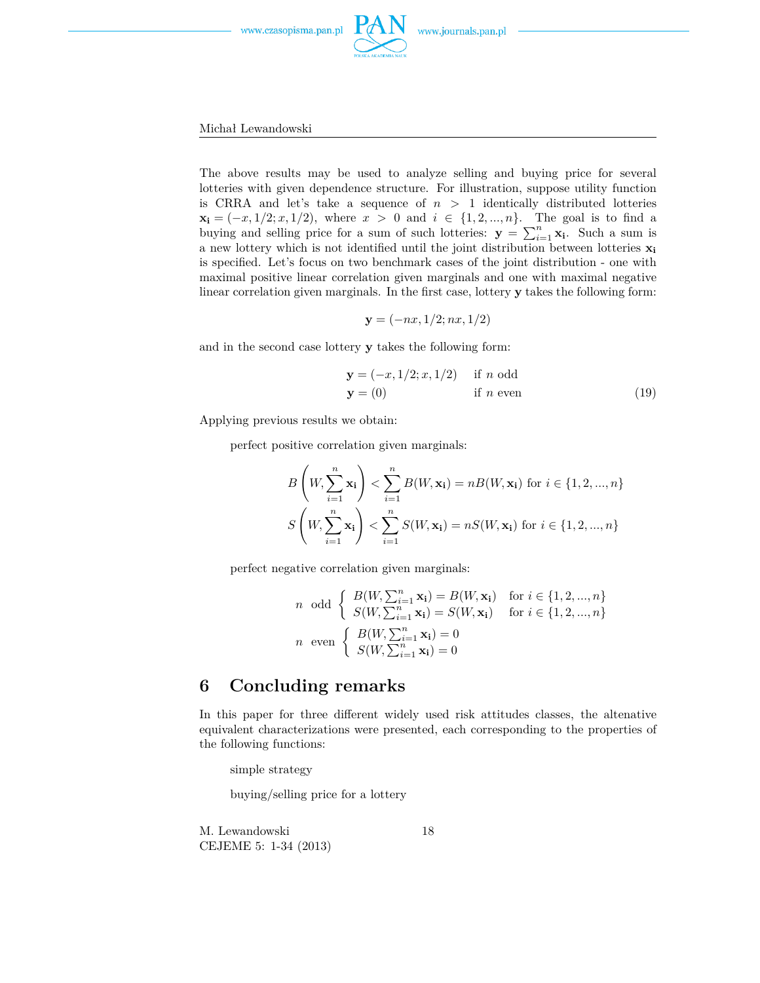



#### Michał Lewandowski

The above results may be used to analyze selling and buying price for several lotteries with given dependence structure. For illustration, suppose utility function is CRRA and let's take a sequence of  $n > 1$  identically distributed lotteries **x**<sub>i</sub> = (−*x,* 1/2; *x,* 1/2), where *x* > 0 and *i* ∈ {1, 2, ..., *n*}. The goal is to find a buying and selling price for a sum of such lotteries:  $\mathbf{y} = \sum_{i=1}^{n} \mathbf{x}_i$ . Such a sum is a new lottery which is not identified until the joint distribution between lotteries **x<sup>i</sup>** is specified. Let's focus on two benchmark cases of the joint distribution - one with maximal positive linear correlation given marginals and one with maximal negative linear correlation given marginals. In the first case, lottery **y** takes the following form:

$$
y = (-nx, 1/2; nx, 1/2)
$$

and in the second case lottery **y** takes the following form:

$$
y = (-x, 1/2; x, 1/2)
$$
 if *n* odd  
\n $y = (0)$  if *n* even (19)

Applying previous results we obtain:

perfect positive correlation given marginals:

$$
B\left(W, \sum_{i=1}^{n} \mathbf{x_i}\right) < \sum_{i=1}^{n} B(W, \mathbf{x_i}) = nB(W, \mathbf{x_i}) \text{ for } i \in \{1, 2, \dots, n\}
$$
\n
$$
S\left(W, \sum_{i=1}^{n} \mathbf{x_i}\right) < \sum_{i=1}^{n} S(W, \mathbf{x_i}) = nS(W, \mathbf{x_i}) \text{ for } i \in \{1, 2, \dots, n\}
$$

perfect negative correlation given marginals:

$$
n \quad \text{odd} \quad \left\{ \begin{array}{l} B(W, \sum_{i=1}^{n} \mathbf{x_i}) = B(W, \mathbf{x_i}) \quad \text{for } i \in \{1, 2, ..., n\} \\ S(W, \sum_{i=1}^{n} \mathbf{x_i}) = S(W, \mathbf{x_i}) \quad \text{for } i \in \{1, 2, ..., n\} \\ n \quad \text{even} \quad \left\{ \begin{array}{l} B(W, \sum_{i=1}^{n} \mathbf{x_i}) = 0 \\ S(W, \sum_{i=1}^{n} \mathbf{x_i}) = 0 \end{array} \right. \end{array} \right.
$$

### **6 Concluding remarks**

In this paper for three different widely used risk attitudes classes, the altenative equivalent characterizations were presented, each corresponding to the properties of the following functions:

simple strategy

buying/selling price for a lottery

M. Lewandowski CEJEME 5: 1-34 (2013)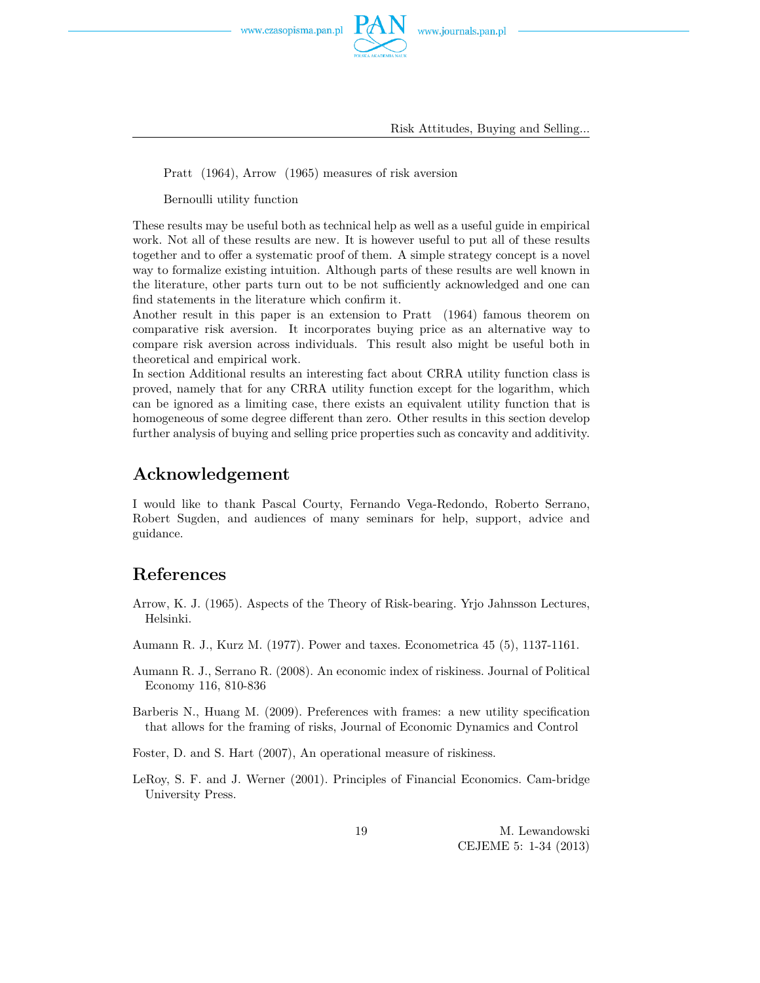

Risk Attitudes, Buying and Selling...

Pratt (1964), Arrow (1965) measures of risk aversion

Bernoulli utility function

These results may be useful both as technical help as well as a useful guide in empirical work. Not all of these results are new. It is however useful to put all of these results together and to offer a systematic proof of them. A simple strategy concept is a novel way to formalize existing intuition. Although parts of these results are well known in the literature, other parts turn out to be not sufficiently acknowledged and one can find statements in the literature which confirm it.

Another result in this paper is an extension to Pratt (1964) famous theorem on comparative risk aversion. It incorporates buying price as an alternative way to compare risk aversion across individuals. This result also might be useful both in theoretical and empirical work.

In section Additional results an interesting fact about CRRA utility function class is proved, namely that for any CRRA utility function except for the logarithm, which can be ignored as a limiting case, there exists an equivalent utility function that is homogeneous of some degree different than zero. Other results in this section develop further analysis of buying and selling price properties such as concavity and additivity.

### **Acknowledgement**

I would like to thank Pascal Courty, Fernando Vega-Redondo, Roberto Serrano, Robert Sugden, and audiences of many seminars for help, support, advice and guidance.

### **References**

- Arrow, K. J. (1965). Aspects of the Theory of Risk-bearing. Yrjo Jahnsson Lectures, Helsinki.
- Aumann R. J., Kurz M. (1977). Power and taxes. Econometrica 45 (5), 1137-1161.
- Aumann R. J., Serrano R. (2008). An economic index of riskiness. Journal of Political Economy 116, 810-836
- Barberis N., Huang M. (2009). Preferences with frames: a new utility specification that allows for the framing of risks, Journal of Economic Dynamics and Control
- Foster, D. and S. Hart (2007), An operational measure of riskiness.
- LeRoy, S. F. and J. Werner (2001). Principles of Financial Economics. Cam-bridge University Press.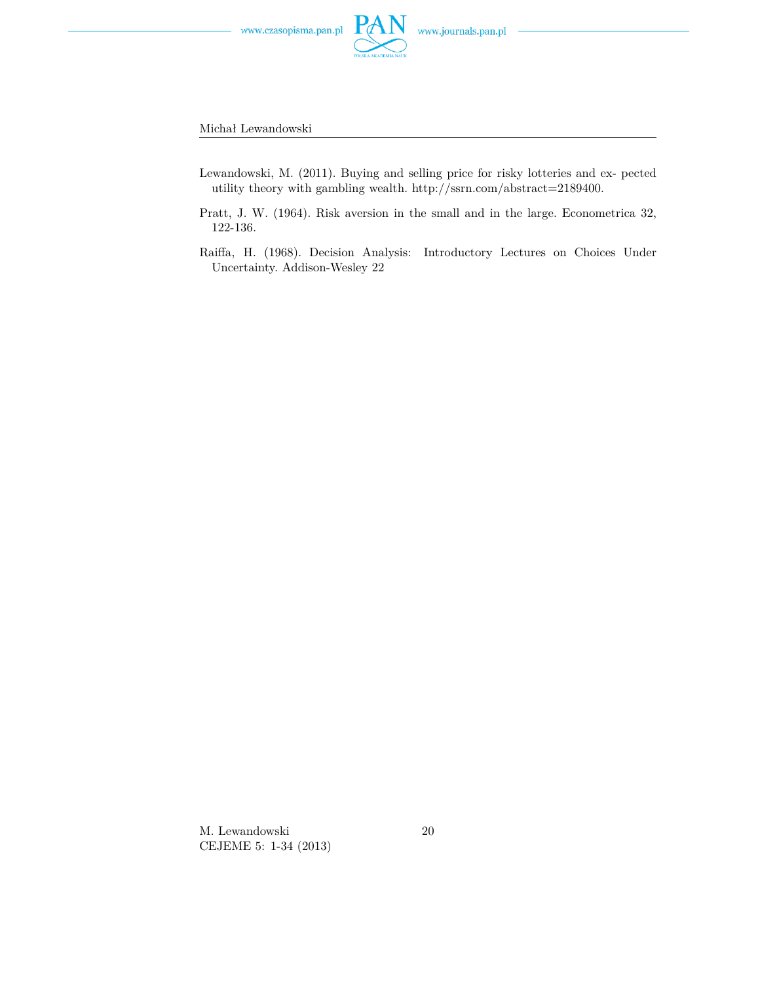

**PAN** 

Michał Lewandowski

- Lewandowski, M. (2011). Buying and selling price for risky lotteries and ex- pected utility theory with gambling wealth. http://ssrn.com/abstract=2189400.
- Pratt, J. W. (1964). Risk aversion in the small and in the large. Econometrica 32, 122-136.
- Raiffa, H. (1968). Decision Analysis: Introductory Lectures on Choices Under Uncertainty. Addison-Wesley 22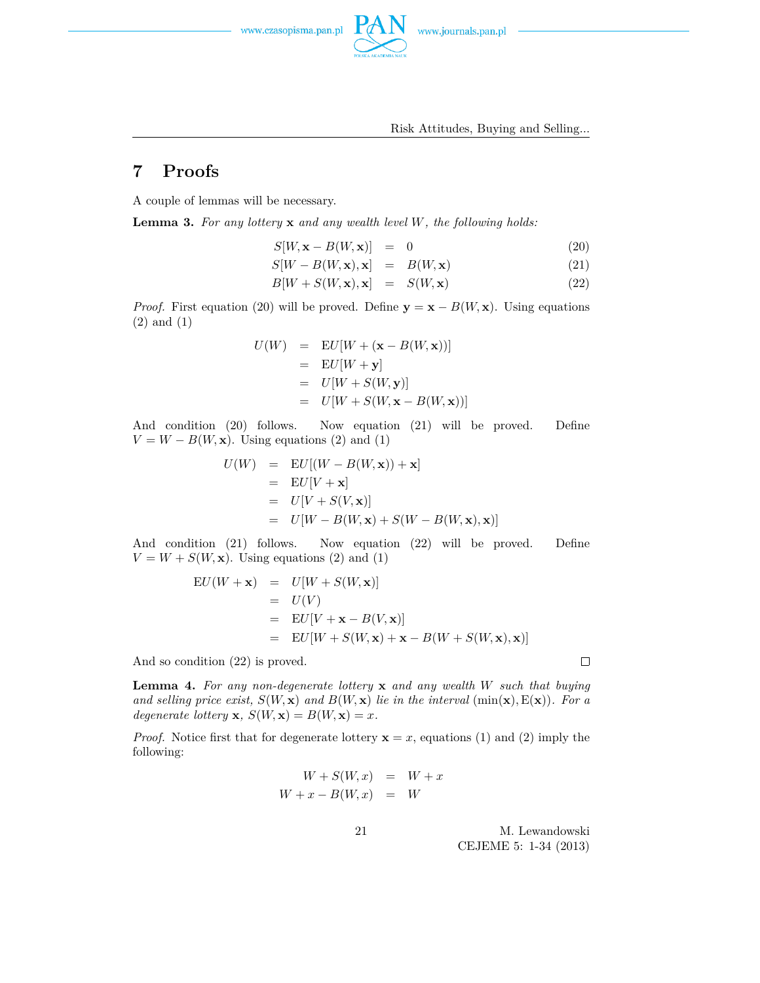Risk Attitudes, Buying and Selling...

## **7 Proofs**

A couple of lemmas will be necessary.

**Lemma 3.** *For any lottery* **x** *and any wealth level W, the following holds:*

$$
S[W, \mathbf{x} - B(W, \mathbf{x})] = 0 \tag{20}
$$

$$
S[W - B(W, \mathbf{x}), \mathbf{x}] = B(W, \mathbf{x}) \tag{21}
$$

$$
B[W + S(W, \mathbf{x}), \mathbf{x}] = S(W, \mathbf{x}) \tag{22}
$$

*Proof.* First equation (20) will be proved. Define  $\mathbf{y} = \mathbf{x} - B(W, \mathbf{x})$ . Using equations (2) and (1)

$$
U(W) = EU[W + (\mathbf{x} - B(W, \mathbf{x}))]
$$
  
= EU[W + \mathbf{y}]  
= U[W + S(W, \mathbf{y})]  
= U[W + S(W, \mathbf{x} - B(W, \mathbf{x}))]

And condition (20) follows. Now equation (21) will be proved. Define  $V = W - B(W, \mathbf{x})$ . Using equations (2) and (1)

$$
U(W) = EU[(W - B(W, \mathbf{x})) + \mathbf{x}]
$$
  
= EU[V + \mathbf{x}]  
= U[V + S(V, \mathbf{x})]  
= U[W - B(W, \mathbf{x}) + S(W - B(W, \mathbf{x}), \mathbf{x})]

And condition (21) follows. Now equation (22) will be proved. Define  $V = W + S(W, \mathbf{x})$ . Using equations (2) and (1)

$$
EU(W + \mathbf{x}) = U[W + S(W, \mathbf{x})]
$$
  
=  $U(V)$   
=  $EU[V + \mathbf{x} - B(V, \mathbf{x})]$   
=  $EU[W + S(W, \mathbf{x}) + \mathbf{x} - B(W + S(W, \mathbf{x}), \mathbf{x})]$ 

And so condition (22) is proved.

**Lemma 4.** *For any non-degenerate lottery* **x** *and any wealth W such that buying and selling price exist,*  $S(W, \mathbf{x})$  *and*  $B(W, \mathbf{x})$  *lie in the interval* (min( $\mathbf{x}$ )*,*  $E(\mathbf{x})$ *). For a degenerate lottery* **x**,  $S(W, \mathbf{x}) = B(W, \mathbf{x}) = x$ .

*Proof.* Notice first that for degenerate lottery  $\mathbf{x} = x$ , equations (1) and (2) imply the following:

$$
W + S(W, x) = W + x
$$
  

$$
W + x - B(W, x) = W
$$

21 M. Lewandowski CEJEME 5: 1-34 (2013)

 $\Box$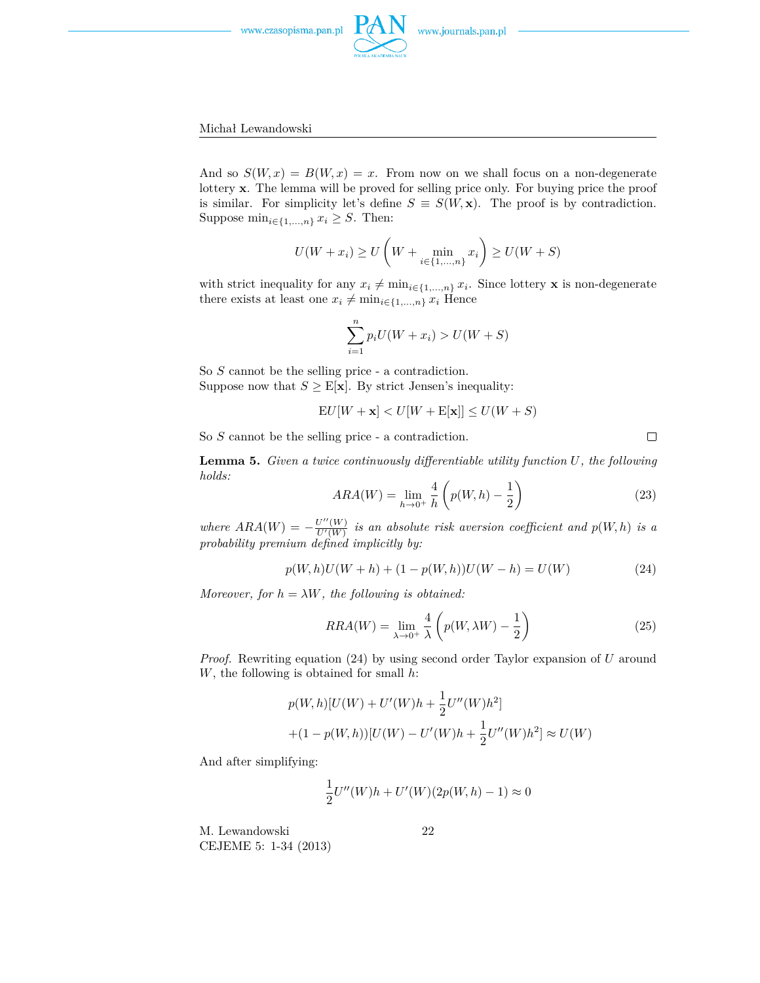



Michał Lewandowski

And so  $S(W, x) = B(W, x) = x$ . From now on we shall focus on a non-degenerate lottery **x**. The lemma will be proved for selling price only. For buying price the proof is similar. For simplicity let's define  $S \equiv S(W, \mathbf{x})$ . The proof is by contradiction. Suppose  $\min_{i \in \{1, ..., n\}} x_i \geq S$ . Then:

$$
U(W + x_i) \ge U\left(W + \min_{i \in \{1, ..., n\}} x_i\right) \ge U(W + S)
$$

with strict inequality for any  $x_i \neq \min_{i \in \{1,\ldots,n\}} x_i$ . Since lottery **x** is non-degenerate there exists at least one  $x_i \neq \min_{i \in \{1, ..., n\}} x_i$  Hence

$$
\sum_{i=1}^{n} p_i U(W + x_i) > U(W + S)
$$

So *S* cannot be the selling price - a contradiction. Suppose now that  $S \geq E[\mathbf{x}]$ . By strict Jensen's inequality:

$$
EU[W + x] < U[W + E[x]] \le U(W + S)
$$

So *S* cannot be the selling price - a contradiction.

**Lemma 5.** *Given a twice continuously differentiable utility function U, the following holds:*

$$
ARA(W) = \lim_{h \to 0^+} \frac{4}{h} \left( p(W, h) - \frac{1}{2} \right)
$$
 (23)

 $\Box$ 

 $where \, \, ARA(W) = -\frac{U''(W)}{U'(W)}$  $\frac{U^-(W)}{U'(W)}$  *is an absolute risk aversion coefficient and*  $p(W, h)$  *is a probability premium defined implicitly by:*

$$
p(W, h)U(W + h) + (1 - p(W, h))U(W - h) = U(W)
$$
\n(24)

*Moreover, for*  $h = \lambda W$ *, the following is obtained:* 

$$
RRA(W) = \lim_{\lambda \to 0^+} \frac{4}{\lambda} \left( p(W, \lambda W) - \frac{1}{2} \right)
$$
 (25)

*Proof.* Rewriting equation (24) by using second order Taylor expansion of *U* around *W*, the following is obtained for small *h*:

$$
p(W, h)[U(W) + U'(W)h + \frac{1}{2}U''(W)h^{2}]
$$
  
+(1 - p(W, h))[U(W) - U'(W)h +  $\frac{1}{2}U''(W)h^{2}] \approx U(W)$ 

And after simplifying:

$$
\frac{1}{2}U''(W)h + U'(W)(2p(W, h) - 1) \approx 0
$$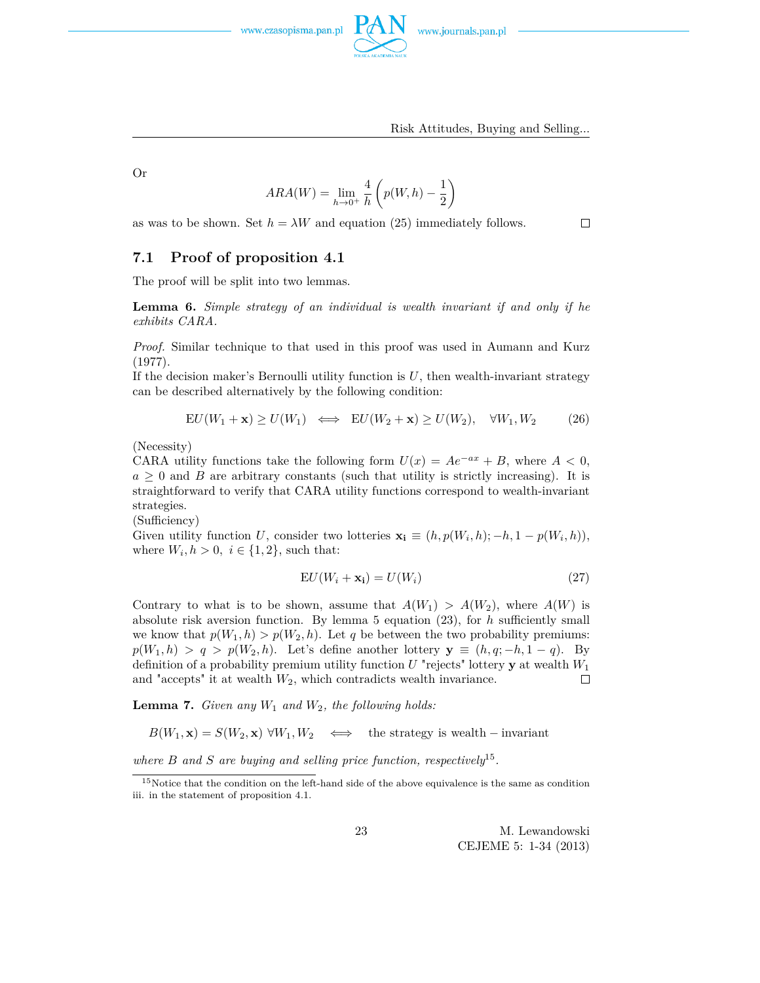Risk Attitudes, Buying and Selling...

Or

$$
ARA(W) = \lim_{h \to 0^+} \frac{4}{h} \left( p(W, h) - \frac{1}{2} \right)
$$

as was to be shown. Set  $h = \lambda W$  and equation (25) immediately follows.

### **7.1 Proof of proposition 4.1**

The proof will be split into two lemmas.

**Lemma 6.** *Simple strategy of an individual is wealth invariant if and only if he exhibits CARA.*

*Proof.* Similar technique to that used in this proof was used in Aumann and Kurz (1977).

If the decision maker's Bernoulli utility function is  $U$ , then wealth-invariant strategy can be described alternatively by the following condition:

$$
EU(W_1 + \mathbf{x}) \ge U(W_1) \iff EU(W_2 + \mathbf{x}) \ge U(W_2), \quad \forall W_1, W_2 \tag{26}
$$

(Necessity)

CARA utility functions take the following form  $U(x) = Ae^{-ax} + B$ , where  $A < 0$ ,  $a \geq 0$  and *B* are arbitrary constants (such that utility is strictly increasing). It is straightforward to verify that CARA utility functions correspond to wealth-invariant strategies.

(Sufficiency)

Given utility function *U*, consider two lotteries  $\mathbf{x_i} \equiv (h, p(W_i, h); -h, 1 - p(W_i, h)),$ where  $W_i, h > 0, i \in \{1, 2\}$ , such that:

$$
EU(W_i + \mathbf{x_i}) = U(W_i)
$$
\n(27)

Contrary to what is to be shown, assume that  $A(W_1) > A(W_2)$ , where  $A(W)$  is absolute risk aversion function. By lemma 5 equation (23), for *h* sufficiently small we know that  $p(W_1, h) > p(W_2, h)$ . Let q be between the two probability premiums:  $p(W_1, h) > q > p(W_2, h)$ . Let's define another lottery  $\mathbf{y} \equiv (h, q; -h, 1 - q)$ . By definition of a probability premium utility function *U* "rejects" lottery **y** at wealth *W*<sup>1</sup> and "accepts" it at wealth *W*2, which contradicts wealth invariance.  $\Box$ 

**Lemma 7.** *Given any*  $W_1$  *and*  $W_2$ *, the following holds:* 

 $B(W_1, \mathbf{x}) = S(W_2, \mathbf{x}) \ \forall W_1, W_2 \iff \text{the strategy is wealth - invariant}$ 

*where B and S are buying and selling price function, respectively*<sup>15</sup> *.*

23 M. Lewandowski CEJEME 5: 1-34 (2013)

 $\Box$ 

<sup>&</sup>lt;sup>15</sup>Notice that the condition on the left-hand side of the above equivalence is the same as condition iii. in the statement of proposition 4.1.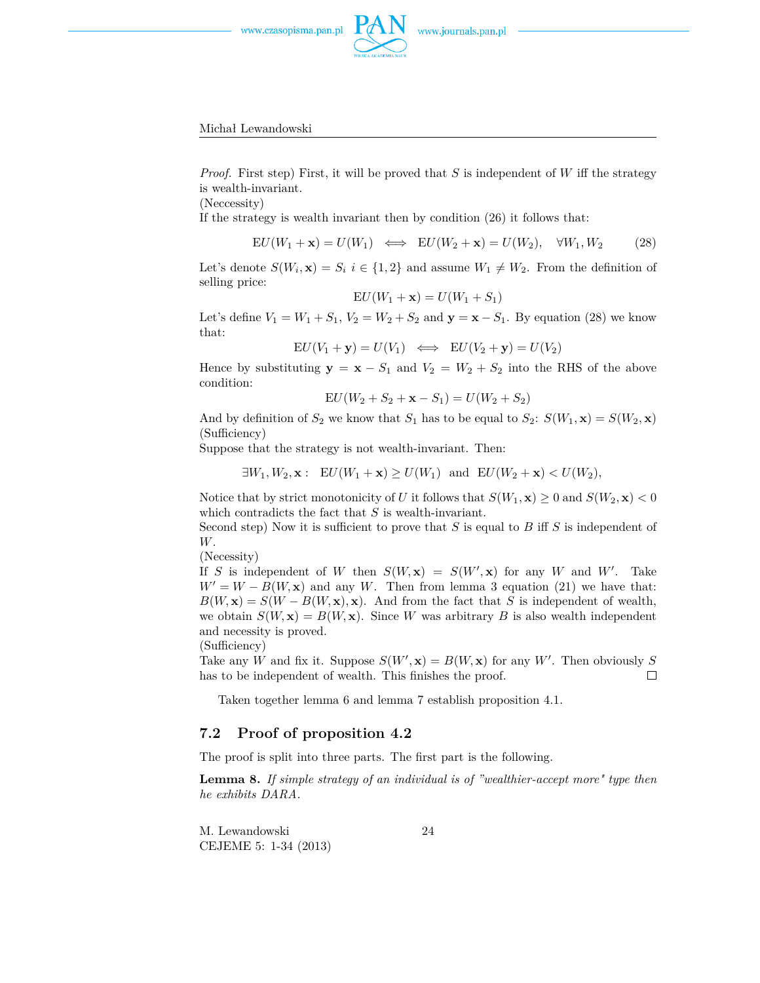

*Proof.* First step) First, it will be proved that *S* is independent of *W* iff the strategy is wealth-invariant.

(Neccessity)

If the strategy is wealth invariant then by condition (26) it follows that:

$$
EU(W_1 + \mathbf{x}) = U(W_1) \iff EU(W_2 + \mathbf{x}) = U(W_2), \quad \forall W_1, W_2 \tag{28}
$$

Let's denote  $S(W_i, \mathbf{x}) = S_i$  *i*  $\in \{1, 2\}$  and assume  $W_1 \neq W_2$ . From the definition of selling price:

$$
EU(W_1 + \mathbf{x}) = U(W_1 + S_1)
$$

Let's define  $V_1 = W_1 + S_1$ ,  $V_2 = W_2 + S_2$  and  $\mathbf{y} = \mathbf{x} - S_1$ . By equation (28) we know that:

$$
EU(V_1 + y) = U(V_1) \iff EU(V_2 + y) = U(V_2)
$$

Hence by substituting  $y = x - S_1$  and  $V_2 = W_2 + S_2$  into the RHS of the above condition:

$$
EU(W_2 + S_2 + \mathbf{x} - S_1) = U(W_2 + S_2)
$$

And by definition of  $S_2$  we know that  $S_1$  has to be equal to  $S_2$ :  $S(W_1, \mathbf{x}) = S(W_2, \mathbf{x})$ (Sufficiency)

Suppose that the strategy is not wealth-invariant. Then:

$$
\exists W_1, W_2, \mathbf{x}: \quad \mathrm{E}U(W_1 + \mathbf{x}) \ge U(W_1) \quad \text{and} \quad \mathrm{E}U(W_2 + \mathbf{x}) < U(W_2),
$$

Notice that by strict monotonicity of *U* it follows that  $S(W_1, \mathbf{x}) \geq 0$  and  $S(W_2, \mathbf{x}) < 0$ which contradicts the fact that *S* is wealth-invariant.

Second step) Now it is sufficient to prove that *S* is equal to *B* iff *S* is independent of *W*.

(Necessity)

If *S* is independent of *W* then  $S(W, x) = S(W', x)$  for any *W* and *W'*. Take  $W' = W - B(W, x)$  and any *W*. Then from lemma 3 equation (21) we have that:  $B(W, x) = S(W - B(W, x), x)$ . And from the fact that *S* is independent of wealth, we obtain  $S(W, x) = B(W, x)$ . Since W was arbitrary B is also wealth independent and necessity is proved.

(Sufficiency)

Take any *W* and fix it. Suppose  $S(W', \mathbf{x}) = B(W, \mathbf{x})$  for any *W'*. Then obviously *S* has to be independent of wealth. This finishes the proof.  $\Box$ 

Taken together lemma 6 and lemma 7 establish proposition 4.1.

### **7.2 Proof of proposition 4.2**

The proof is split into three parts. The first part is the following.

**Lemma 8.** *If simple strategy of an individual is of "wealthier-accept more" type then he exhibits DARA.*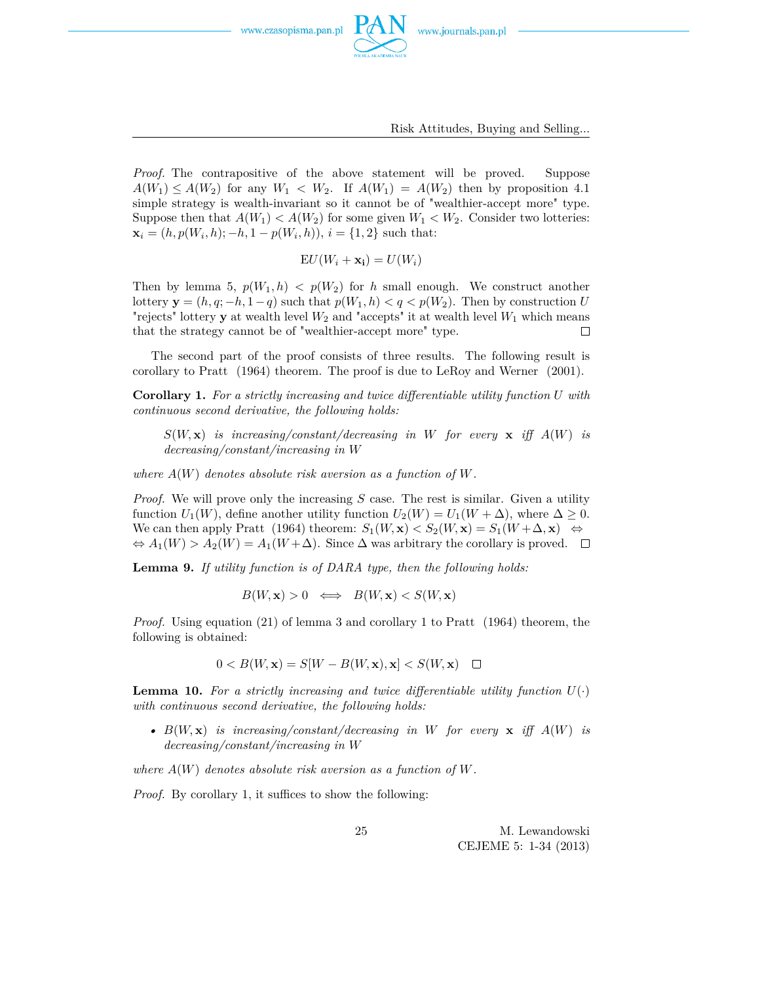

Risk Attitudes, Buying and Selling...

*Proof.* The contrapositive of the above statement will be proved. Suppose  $A(W_1) \leq A(W_2)$  for any  $W_1 \leq W_2$ . If  $A(W_1) = A(W_2)$  then by proposition 4.1 simple strategy is wealth-invariant so it cannot be of "wealthier-accept more" type. Suppose then that  $A(W_1) < A(W_2)$  for some given  $W_1 < W_2$ . Consider two lotteries:  $\mathbf{x}_i = (h, p(W_i, h); -h, 1 - p(W_i, h)), i = \{1, 2\}$  such that:

 $EU(W_i + \mathbf{x_i}) = U(W_i)$ 

Then by lemma 5,  $p(W_1, h) < p(W_2)$  for *h* small enough. We construct another lottery **y** =  $(h, q; -h, 1-q)$  such that  $p(W_1, h) < q < p(W_2)$ . Then by construction *U* "rejects" lottery **y** at wealth level  $W_2$  and "accepts" it at wealth level  $W_1$  which means that the strategy cannot be of "wealthier-accept more" type. П

The second part of the proof consists of three results. The following result is corollary to Pratt (1964) theorem. The proof is due to LeRoy and Werner (2001).

**Corollary 1.** *For a strictly increasing and twice differentiable utility function U with continuous second derivative, the following holds:*

 $S(W, \mathbf{x})$  *is increasing/constant/decreasing in W for every* **x** *iff*  $A(W)$  *is decreasing/constant/increasing in W*

*where A*(*W*) *denotes absolute risk aversion as a function of W.*

*Proof.* We will prove only the increasing *S* case. The rest is similar. Given a utility function  $U_1(W)$ , define another utility function  $U_2(W) = U_1(W + \Delta)$ , where  $\Delta \geq 0$ . We can then apply Pratt (1964) theorem:  $S_1(W, \mathbf{x}) < S_2(W, \mathbf{x}) = S_1(W + \Delta, \mathbf{x}) \Leftrightarrow$  $\Leftrightarrow$  *A*<sub>1</sub>(*W*) > *A*<sub>2</sub>(*W*) = *A*<sub>1</sub>(*W* + ∆). Since ∆ was arbitrary the corollary is proved. □

**Lemma 9.** *If utility function is of DARA type, then the following holds:*

 $B(W, \mathbf{x}) > 0 \iff B(W, \mathbf{x}) < S(W, \mathbf{x})$ 

*Proof.* Using equation (21) of lemma 3 and corollary 1 to Pratt (1964) theorem, the following is obtained:

$$
0 < B(W, \mathbf{x}) = S[W - B(W, \mathbf{x}), \mathbf{x}] < S(W, \mathbf{x}) \quad \Box
$$

**Lemma 10.** For a strictly increasing and twice differentiable utility function  $U(\cdot)$ *with continuous second derivative, the following holds:*

*• B*(*W,* **x**) *is increasing/constant/decreasing in W for every* **x** *iff A*(*W*) *is decreasing/constant/increasing in W*

*where A*(*W*) *denotes absolute risk aversion as a function of W.*

*Proof.* By corollary 1, it suffices to show the following: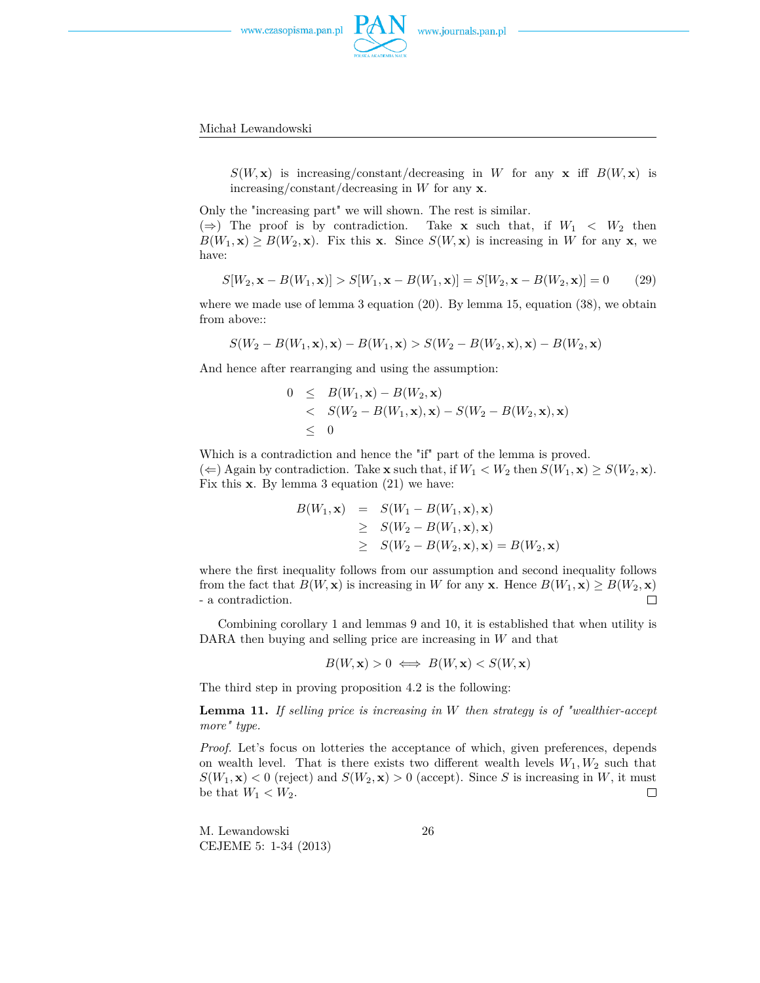www.journals.pan.pl



Michał Lewandowski

 $S(W, \mathbf{x})$  is increasing/constant/decreasing in *W* for any **x** iff  $B(W, \mathbf{x})$  is increasing/constant/decreasing in *W* for any **x**.

Only the "increasing part" we will shown. The rest is similar. (⇒) The proof is by contradiction. Take **x** such that, if  $W_1 < W_2$  then  $B(W_1, \mathbf{x}) \ge B(W_2, \mathbf{x})$ . Fix this **x**. Since  $S(W, \mathbf{x})$  is increasing in W for any **x**, we have:

$$
S[W_2, \mathbf{x} - B(W_1, \mathbf{x})] > S[W_1, \mathbf{x} - B(W_1, \mathbf{x})] = S[W_2, \mathbf{x} - B(W_2, \mathbf{x})] = 0
$$
 (29)

where we made use of lemma 3 equation  $(20)$ . By lemma 15, equation  $(38)$ , we obtain from above::

$$
S(W_2 - B(W_1, \mathbf{x}), \mathbf{x}) - B(W_1, \mathbf{x}) > S(W_2 - B(W_2, \mathbf{x}), \mathbf{x}) - B(W_2, \mathbf{x})
$$

And hence after rearranging and using the assumption:

$$
0 \leq B(W_1, \mathbf{x}) - B(W_2, \mathbf{x}) \n
$$
< S(W_2 - B(W_1, \mathbf{x}), \mathbf{x}) - S(W_2 - B(W_2, \mathbf{x}), \mathbf{x}) \n\leq 0
$$
$$

Which is a contradiction and hence the "if" part of the lemma is proved. (←) Again by contradiction. Take **x** such that, if  $W_1$  <  $W_2$  then  $S(W_1, \mathbf{x}) \geq S(W_2, \mathbf{x})$ . Fix this **x**. By lemma 3 equation (21) we have:

$$
B(W_1, \mathbf{x}) = S(W_1 - B(W_1, \mathbf{x}), \mathbf{x})
$$
  
\n
$$
\geq S(W_2 - B(W_1, \mathbf{x}), \mathbf{x})
$$
  
\n
$$
\geq S(W_2 - B(W_2, \mathbf{x}), \mathbf{x}) = B(W_2, \mathbf{x})
$$

where the first inequality follows from our assumption and second inequality follows from the fact that  $B(W, \mathbf{x})$  is increasing in W for any **x**. Hence  $B(W_1, \mathbf{x}) \ge B(W_2, \mathbf{x})$ - a contradiction.  $\Box$ 

Combining corollary 1 and lemmas 9 and 10, it is established that when utility is DARA then buying and selling price are increasing in *W* and that

$$
B(W, \mathbf{x}) > 0 \iff B(W, \mathbf{x}) < S(W, \mathbf{x})
$$

The third step in proving proposition 4.2 is the following:

**Lemma 11.** *If selling price is increasing in W then strategy is of "wealthier-accept more" type.*

*Proof.* Let's focus on lotteries the acceptance of which, given preferences, depends on wealth level. That is there exists two different wealth levels  $W_1, W_2$  such that  $S(W_1, \mathbf{x}) < 0$  (reject) and  $S(W_2, \mathbf{x}) > 0$  (accept). Since *S* is increasing in *W*, it must be that  $W_1 < W_2$ .  $\Box$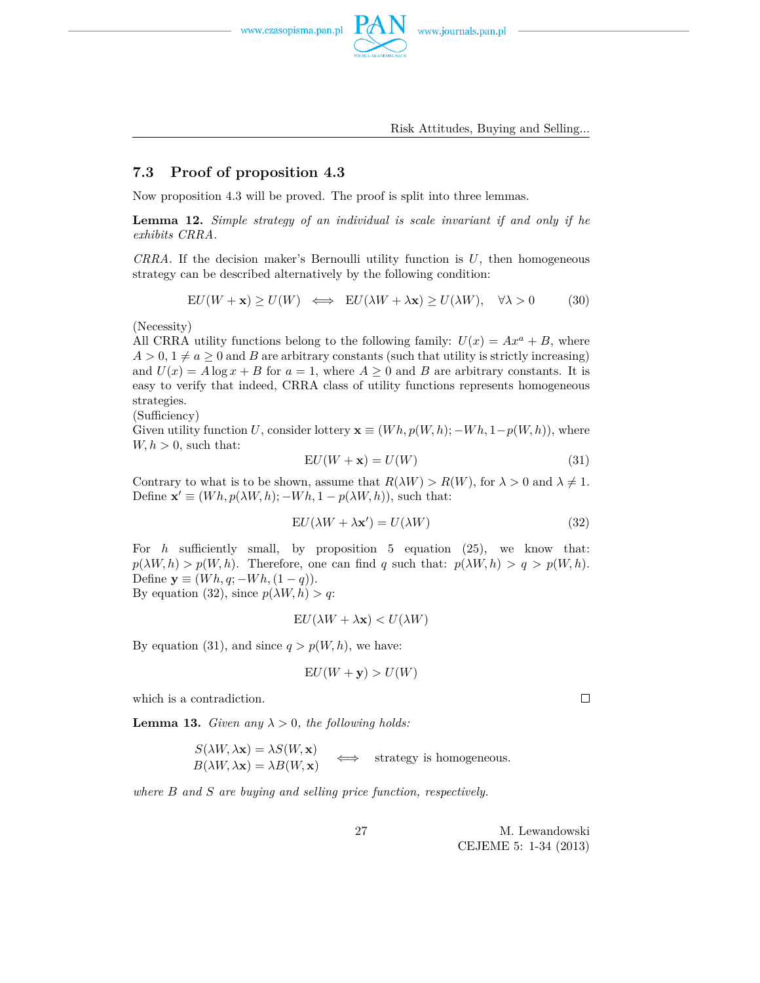### **7.3 Proof of proposition 4.3**

Now proposition 4.3 will be proved. The proof is split into three lemmas.

**Lemma 12.** *Simple strategy of an individual is scale invariant if and only if he exhibits CRRA.*

*CRRA.* If the decision maker's Bernoulli utility function is *U*, then homogeneous strategy can be described alternatively by the following condition:

$$
EU(W + \mathbf{x}) \ge U(W) \iff EU(\lambda W + \lambda \mathbf{x}) \ge U(\lambda W), \quad \forall \lambda > 0 \tag{30}
$$

(Necessity)

All CRRA utility functions belong to the following family:  $U(x) = Ax^a + B$ , where  $A > 0$ ,  $1 \neq a > 0$  and *B* are arbitrary constants (such that utility is strictly increasing) and  $U(x) = A \log x + B$  for  $a = 1$ , where  $A \ge 0$  and *B* are arbitrary constants. It is easy to verify that indeed, CRRA class of utility functions represents homogeneous strategies.

(Sufficiency)

Given utility function *U*, consider lottery  $\mathbf{x} \equiv (Wh, p(W, h); -Wh, 1-p(W, h))$ , where  $W, h > 0$ , such that:

$$
EU(W + x) = U(W)
$$
\n(31)

Contrary to what is to be shown, assume that  $R(\lambda W) > R(W)$ , for  $\lambda > 0$  and  $\lambda \neq 1$ . Define  $\mathbf{x}' \equiv (Wh, p(\lambda W, h); -Wh, 1 - p(\lambda W, h)),$  such that:

$$
EU(\lambda W + \lambda \mathbf{x}') = U(\lambda W) \tag{32}
$$

For *h* sufficiently small, by proposition 5 equation (25), we know that:  $p(\lambda W, h) > p(W, h)$ . Therefore, one can find *q* such that:  $p(\lambda W, h) > q > p(W, h)$ . Define  $\mathbf{y} \equiv (Wh, q; -Wh, (1 - q))$ . By equation (32), since  $p(\lambda W, h) > q$ :

$$
EU(\lambda W + \lambda \mathbf{x}) < U(\lambda W)
$$

By equation (31), and since  $q > p(W, h)$ , we have:

$$
EU(W + y) > U(W)
$$

which is a contradiction.

**Lemma 13.** *Given any*  $\lambda > 0$ *, the following holds:* 

 $S(\lambda W, \lambda \mathbf{x}) = \lambda S(W, \mathbf{x})$  $B(\lambda W, \lambda \mathbf{x}) = \lambda B(W, \mathbf{x}) \iff$  strategy is homogeneous.

*where B and S are buying and selling price function, respectively.*

27 M. Lewandowski CEJEME 5: 1-34 (2013)

 $\Box$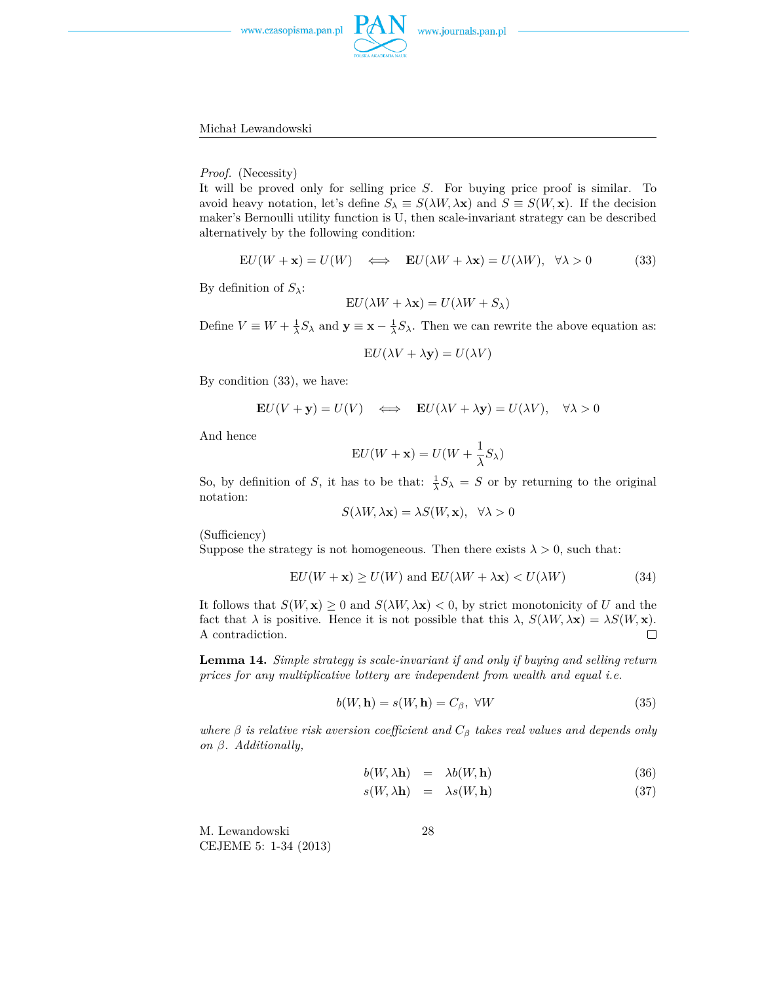

Michał Lewandowski

#### *Proof.* (Necessity)

It will be proved only for selling price *S*. For buying price proof is similar. To avoid heavy notation, let's define  $S_\lambda \equiv S(\lambda W, \lambda \mathbf{x})$  and  $S \equiv S(W, \mathbf{x})$ . If the decision maker's Bernoulli utility function is U, then scale-invariant strategy can be described alternatively by the following condition:

$$
EU(W + \mathbf{x}) = U(W) \iff EU(\lambda W + \lambda \mathbf{x}) = U(\lambda W), \quad \forall \lambda > 0 \tag{33}
$$

By definition of *Sλ*:

$$
EU(\lambda W + \lambda \mathbf{x}) = U(\lambda W + S_{\lambda})
$$

Define  $V \equiv W + \frac{1}{\lambda}S_{\lambda}$  and  $\mathbf{y} \equiv \mathbf{x} - \frac{1}{\lambda}S_{\lambda}$ . Then we can rewrite the above equation as:

$$
EU(\lambda V + \lambda y) = U(\lambda V)
$$

By condition (33), we have:

$$
\mathbf{E}U(V + \mathbf{y}) = U(V) \iff \mathbf{E}U(\lambda V + \lambda \mathbf{y}) = U(\lambda V), \quad \forall \lambda > 0
$$

And hence

$$
EU(W + x) = U(W + \frac{1}{\lambda}S_{\lambda})
$$

So, by definition of *S*, it has to be that:  $\frac{1}{\lambda}S_{\lambda} = S$  or by returning to the original notation:

$$
S(\lambda W, \lambda \mathbf{x}) = \lambda S(W, \mathbf{x}), \quad \forall \lambda > 0
$$

(Sufficiency)

Suppose the strategy is not homogeneous. Then there exists  $\lambda > 0$ , such that:

$$
EU(W + \mathbf{x}) \ge U(W) \text{ and } EU(\lambda W + \lambda \mathbf{x}) < U(\lambda W) \tag{34}
$$

It follows that  $S(W, x) \geq 0$  and  $S(\lambda W, \lambda x) < 0$ , by strict monotonicity of *U* and the fact that  $\lambda$  is positive. Hence it is not possible that this  $\lambda$ ,  $S(\lambda W, \lambda \mathbf{x}) = \lambda S(W, \mathbf{x})$ . A contradiction.  $\Box$ 

**Lemma 14.** *Simple strategy is scale-invariant if and only if buying and selling return prices for any multiplicative lottery are independent from wealth and equal i.e.*

$$
b(W, \mathbf{h}) = s(W, \mathbf{h}) = C_{\beta}, \ \forall W \tag{35}
$$

*where*  $\beta$  *is relative risk aversion coefficient and*  $C_{\beta}$  *takes real values and depends only on β. Additionally,*

$$
b(W, \lambda \mathbf{h}) = \lambda b(W, \mathbf{h}) \tag{36}
$$

$$
s(W, \lambda \mathbf{h}) = \lambda s(W, \mathbf{h}) \tag{37}
$$

M. Lewandowski CEJEME 5: 1-34 (2013) 28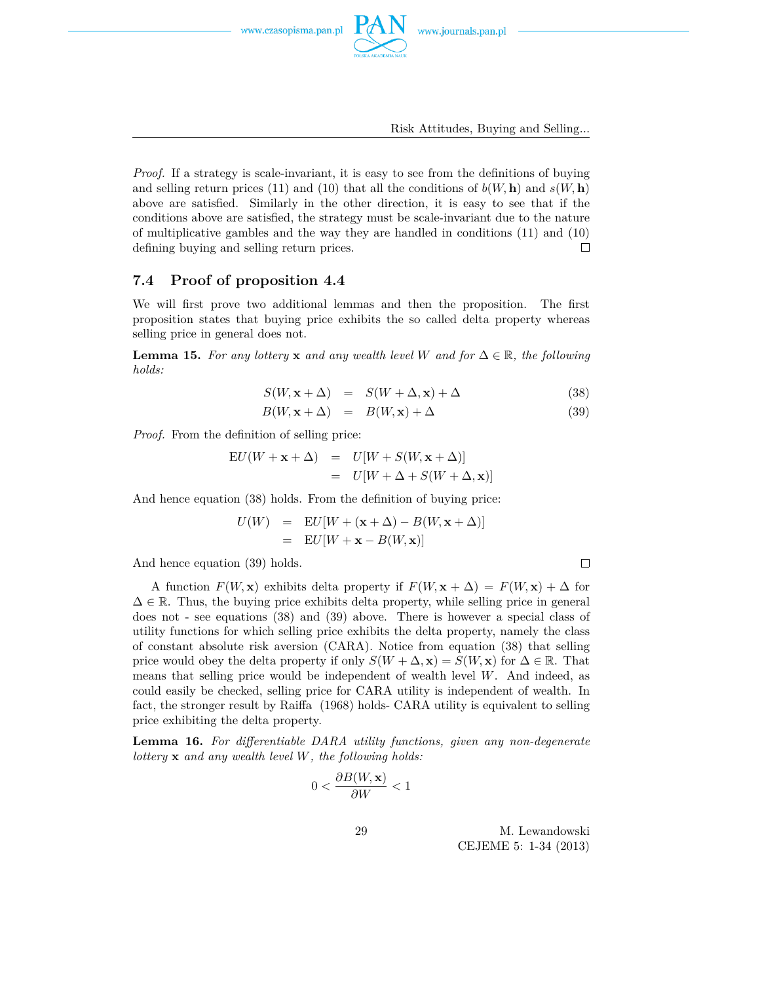Risk Attitudes, Buying and Selling...

*Proof.* If a strategy is scale-invariant, it is easy to see from the definitions of buying and selling return prices (11) and (10) that all the conditions of  $b(W, h)$  and  $s(W, h)$ above are satisfied. Similarly in the other direction, it is easy to see that if the conditions above are satisfied, the strategy must be scale-invariant due to the nature of multiplicative gambles and the way they are handled in conditions (11) and (10) defining buying and selling return prices.  $\Box$ 

### **7.4 Proof of proposition 4.4**

We will first prove two additional lemmas and then the proposition. The first proposition states that buying price exhibits the so called delta property whereas selling price in general does not.

**Lemma 15.** For any lottery **x** and any wealth level *W* and for  $\Delta \in \mathbb{R}$ , the following *holds:*

$$
S(W, \mathbf{x} + \Delta) = S(W + \Delta, \mathbf{x}) + \Delta \tag{38}
$$

$$
B(W, \mathbf{x} + \Delta) = B(W, \mathbf{x}) + \Delta \tag{39}
$$

*Proof.* From the definition of selling price:

$$
EU(W + x + \Delta) = U[W + S(W, x + \Delta)]
$$
  
= 
$$
U[W + \Delta + S(W + \Delta, x)]
$$

And hence equation (38) holds. From the definition of buying price:

$$
U(W) = EU[W + (\mathbf{x} + \Delta) - B(W, \mathbf{x} + \Delta)]
$$
  
= EU[W + \mathbf{x} - B(W, \mathbf{x})]

And hence equation (39) holds.

A function  $F(W, \mathbf{x})$  exhibits delta property if  $F(W, \mathbf{x} + \Delta) = F(W, \mathbf{x}) + \Delta$  for  $\Delta \in \mathbb{R}$ . Thus, the buying price exhibits delta property, while selling price in general does not - see equations (38) and (39) above. There is however a special class of utility functions for which selling price exhibits the delta property, namely the class of constant absolute risk aversion (CARA). Notice from equation (38) that selling price would obey the delta property if only  $S(W + \Delta, \mathbf{x}) = S(W, \mathbf{x})$  for  $\Delta \in \mathbb{R}$ . That means that selling price would be independent of wealth level *W*. And indeed, as could easily be checked, selling price for CARA utility is independent of wealth. In fact, the stronger result by Raiffa (1968) holds- CARA utility is equivalent to selling price exhibiting the delta property.

**Lemma 16.** *For differentiable DARA utility functions, given any non-degenerate lottery* **x** *and any wealth level W, the following holds:*

$$
0 < \frac{\partial B(W, \mathbf{x})}{\partial W} < 1
$$

29 M. Lewandowski CEJEME 5: 1-34 (2013)

 $\Box$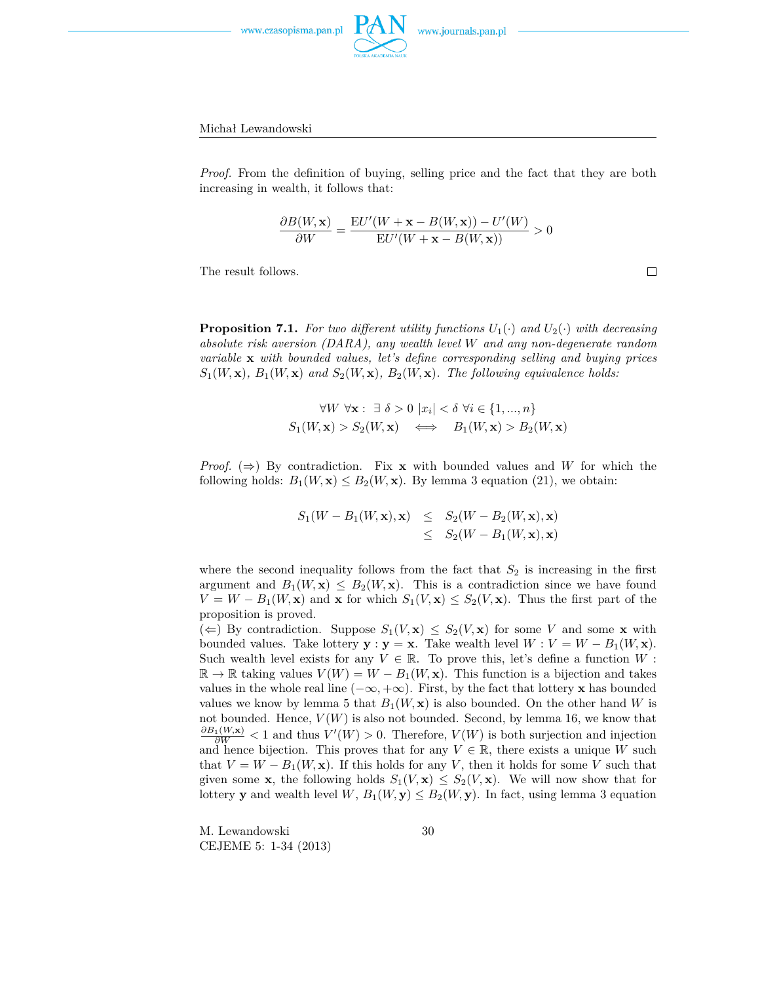

#### Michał Lewandowski

*Proof.* From the definition of buying, selling price and the fact that they are both increasing in wealth, it follows that:

$$
\frac{\partial B(W, \mathbf{x})}{\partial W} = \frac{EU'(W + \mathbf{x} - B(W, \mathbf{x})) - U'(W)}{EU'(W + \mathbf{x} - B(W, \mathbf{x}))} > 0
$$

The result follows.

 $\Box$ 

**Proposition 7.1.** For two different utility functions  $U_1(\cdot)$  and  $U_2(\cdot)$  with decreasing *absolute risk aversion (DARA), any wealth level W and any non-degenerate random variable* **x** *with bounded values, let's define corresponding selling and buying prices*  $S_1(W, \mathbf{x})$ *,*  $B_1(W, \mathbf{x})$  and  $S_2(W, \mathbf{x})$ *,*  $B_2(W, \mathbf{x})$ *. The following equivalence holds:* 

$$
\forall W \,\,\forall \mathbf{x}: \,\,\exists \,\,\delta > 0 \,\, |x_i| < \delta \,\,\forall i \in \{1, \dots, n\}
$$
\n
$$
S_1(W, \mathbf{x}) > S_2(W, \mathbf{x}) \quad \Longleftrightarrow \quad B_1(W, \mathbf{x}) > B_2(W, \mathbf{x})
$$

*Proof.* ( $\Rightarrow$ ) By contradiction. Fix **x** with bounded values and *W* for which the following holds:  $B_1(W, \mathbf{x}) \leq B_2(W, \mathbf{x})$ . By lemma 3 equation (21), we obtain:

$$
S_1(W - B_1(W, \mathbf{x}), \mathbf{x}) \leq S_2(W - B_2(W, \mathbf{x}), \mathbf{x})
$$
  

$$
\leq S_2(W - B_1(W, \mathbf{x}), \mathbf{x})
$$

where the second inequality follows from the fact that  $S_2$  is increasing in the first argument and  $B_1(W, \mathbf{x}) \leq B_2(W, \mathbf{x})$ . This is a contradiction since we have found  $V = W - B_1(W, \mathbf{x})$  and **x** for which  $S_1(V, \mathbf{x}) \leq S_2(V, \mathbf{x})$ . Thus the first part of the proposition is proved.

 $(\Leftarrow)$  By contradiction. Suppose  $S_1(V, \mathbf{x}) \leq S_2(V, \mathbf{x})$  for some *V* and some **x** with bounded values. Take lottery  $\mathbf{y} : \mathbf{y} = \mathbf{x}$ . Take wealth level  $W : V = W - B_1(W, \mathbf{x})$ . Such wealth level exists for any  $V \in \mathbb{R}$ . To prove this, let's define a function  $W$ :  $\mathbb{R} \to \mathbb{R}$  taking values  $V(W) = W - B_1(W, \mathbf{x})$ . This function is a bijection and takes values in the whole real line (−∞*,* +∞). First, by the fact that lottery **x** has bounded values we know by lemma 5 that  $B_1(W, x)$  is also bounded. On the other hand W is not bounded. Hence,  $V(W)$  is also not bounded. Second, by lemma 16, we know that  $\frac{\partial B_1(W, \mathbf{x})}{\partial W}$  < 1 and thus *V*'(*W*) > 0. Therefore, *V*(*W*) is both surjection and injection and hence bijection. This proves that for any  $V \in \mathbb{R}$ , there exists a unique *W* such that  $V = W - B_1(W, \mathbf{x})$ . If this holds for any *V*, then it holds for some *V* such that given some **x**, the following holds  $S_1(V, \mathbf{x}) \leq S_2(V, \mathbf{x})$ . We will now show that for lottery **y** and wealth level *W*,  $B_1(W, \mathbf{y}) \le B_2(W, \mathbf{y})$ . In fact, using lemma 3 equation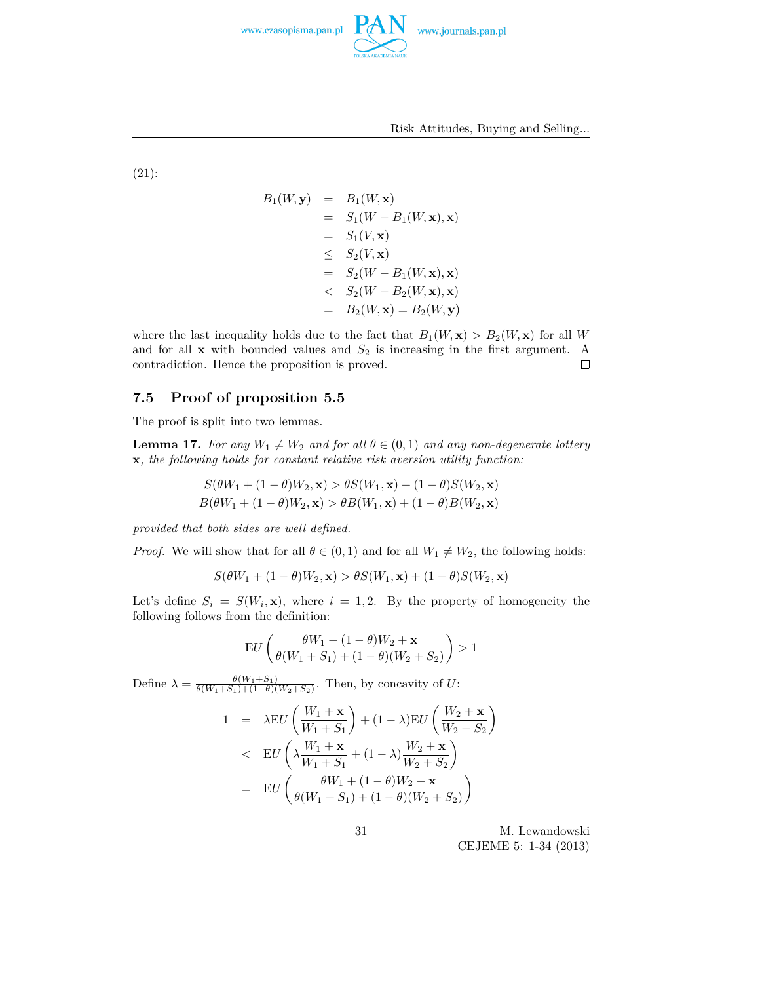

Risk Attitudes, Buying and Selling...

(21):

$$
B_1(W, \mathbf{y}) = B_1(W, \mathbf{x})
$$
  
=  $S_1(W - B_1(W, \mathbf{x}), \mathbf{x})$   
=  $S_1(V, \mathbf{x})$   
 $\leq S_2(V, \mathbf{x})$   
=  $S_2(W - B_1(W, \mathbf{x}), \mathbf{x})$   
 $\leq S_2(W - B_2(W, \mathbf{x}), \mathbf{x})$   
=  $B_2(W, \mathbf{x}) = B_2(W, \mathbf{y})$ 

where the last inequality holds due to the fact that  $B_1(W, \mathbf{x}) > B_2(W, \mathbf{x})$  for all W and for all  $\bf{x}$  with bounded values and  $S_2$  is increasing in the first argument. A contradiction. Hence the proposition is proved.  $\Box$ 

### **7.5 Proof of proposition 5.5**

The proof is split into two lemmas.

**Lemma 17.** *For any*  $W_1 \neq W_2$  *and for all*  $\theta \in (0,1)$  *and any non-degenerate lottery* **x***, the following holds for constant relative risk aversion utility function:*

$$
S(\theta W_1 + (1 - \theta)W_2, \mathbf{x}) > \theta S(W_1, \mathbf{x}) + (1 - \theta)S(W_2, \mathbf{x})
$$
  

$$
B(\theta W_1 + (1 - \theta)W_2, \mathbf{x}) > \theta B(W_1, \mathbf{x}) + (1 - \theta)B(W_2, \mathbf{x})
$$

*provided that both sides are well defined.*

*Proof.* We will show that for all  $\theta \in (0,1)$  and for all  $W_1 \neq W_2$ , the following holds:

$$
S(\theta W_1 + (1 - \theta)W_2, \mathbf{x}) > \theta S(W_1, \mathbf{x}) + (1 - \theta)S(W_2, \mathbf{x})
$$

Let's define  $S_i = S(W_i, \mathbf{x})$ , where  $i = 1, 2$ . By the property of homogeneity the following follows from the definition:

$$
EU\left(\frac{\theta W_1 + (1 - \theta)W_2 + x}{\theta (W_1 + S_1) + (1 - \theta)(W_2 + S_2)}\right) > 1
$$

Define  $\lambda = \frac{\theta(W_1 + S_1)}{\theta(W_1 + S_1) + (1 - \theta)}$  $\frac{\theta(W_1+S_1)}{\theta(W_1+S_1)+(1-\theta)(W_2+S_2)}$ . Then, by concavity of *U*:

$$
1 = \lambda EU\left(\frac{W_1 + \mathbf{x}}{W_1 + S_1}\right) + (1 - \lambda)EU\left(\frac{W_2 + \mathbf{x}}{W_2 + S_2}\right)
$$
  

$$
< EU\left(\lambda \frac{W_1 + \mathbf{x}}{W_1 + S_1} + (1 - \lambda) \frac{W_2 + \mathbf{x}}{W_2 + S_2}\right)
$$
  

$$
= EU\left(\frac{\theta W_1 + (1 - \theta)W_2 + \mathbf{x}}{\theta (W_1 + S_1) + (1 - \theta)(W_2 + S_2)}\right)
$$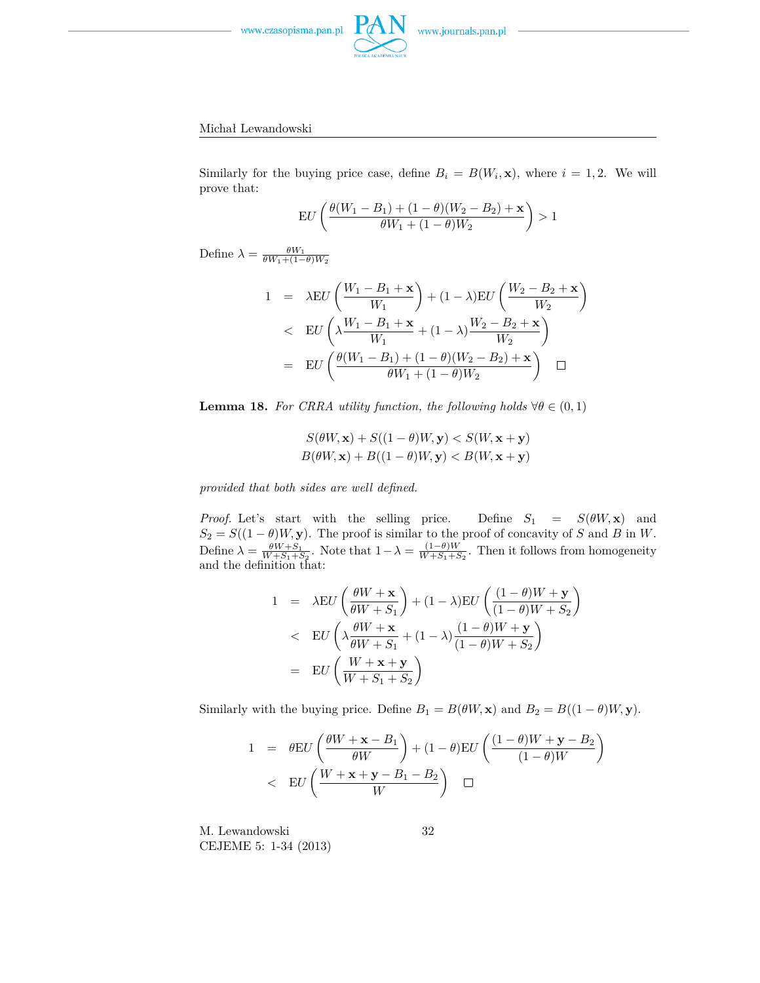

#### Michał Lewandowski

Similarly for the buying price case, define  $B_i = B(W_i, \mathbf{x})$ , where  $i = 1, 2$ . We will prove that:

$$
EU\left(\frac{\theta(W_1 - B_1) + (1 - \theta)(W_2 - B_2) + \mathbf{x}}{\theta W_1 + (1 - \theta)W_2}\right) > 1
$$

Define  $\lambda = \frac{\theta W_1}{\theta W_1 + (1-\theta)W_2}$ 

$$
1 = \lambda EU\left(\frac{W_1 - B_1 + \mathbf{x}}{W_1}\right) + (1 - \lambda)EU\left(\frac{W_2 - B_2 + \mathbf{x}}{W_2}\right)
$$
  

$$
< EU\left(\lambda \frac{W_1 - B_1 + \mathbf{x}}{W_1} + (1 - \lambda) \frac{W_2 - B_2 + \mathbf{x}}{W_2}\right)
$$
  

$$
= EU\left(\frac{\theta(W_1 - B_1) + (1 - \theta)(W_2 - B_2) + \mathbf{x}}{\theta W_1 + (1 - \theta)W_2}\right) \quad \Box
$$

**Lemma 18.** *For CRRA utility function, the following holds*  $\forall \theta \in (0,1)$ 

$$
S(\theta W, \mathbf{x}) + S((1 - \theta)W, \mathbf{y}) < S(W, \mathbf{x} + \mathbf{y})
$$
\n
$$
B(\theta W, \mathbf{x}) + B((1 - \theta)W, \mathbf{y}) < B(W, \mathbf{x} + \mathbf{y})
$$

*provided that both sides are well defined.*

*Proof.* Let's start with the selling price. Define  $S_1 = S(\theta W, \mathbf{x})$  and  $S_2 = S((1 - \theta)W, \mathbf{y})$ . The proof is similar to the proof of concavity of *S* and *B* in *W*. Define  $\lambda = \frac{\theta W + S_1}{W + S_1 + S_2}$ . Note that  $1 - \lambda = \frac{(1 - \theta)W}{W + S_1 + S_2}$  $\frac{(1-\theta)W}{W+S_1+S_2}$ . Then it follows from homogeneity and the definition that:

$$
1 = \lambda EU \left(\frac{\theta W + \mathbf{x}}{\theta W + S_1}\right) + (1 - \lambda)EU \left(\frac{(1 - \theta)W + \mathbf{y}}{(1 - \theta)W + S_2}\right)
$$
  

$$
< EU \left(\lambda \frac{\theta W + \mathbf{x}}{\theta W + S_1} + (1 - \lambda) \frac{(1 - \theta)W + \mathbf{y}}{(1 - \theta)W + S_2}\right)
$$
  

$$
= EU \left(\frac{W + \mathbf{x} + \mathbf{y}}{W + S_1 + S_2}\right)
$$

Similarly with the buying price. Define  $B_1 = B(\theta W, \mathbf{x})$  and  $B_2 = B((1 - \theta)W, \mathbf{y})$ .

$$
1 = \theta EU \left( \frac{\theta W + \mathbf{x} - B_1}{\theta W} \right) + (1 - \theta) EU \left( \frac{(1 - \theta)W + \mathbf{y} - B_2}{(1 - \theta)W} \right)
$$
  

$$
< EU \left( \frac{W + \mathbf{x} + \mathbf{y} - B_1 - B_2}{W} \right) \square
$$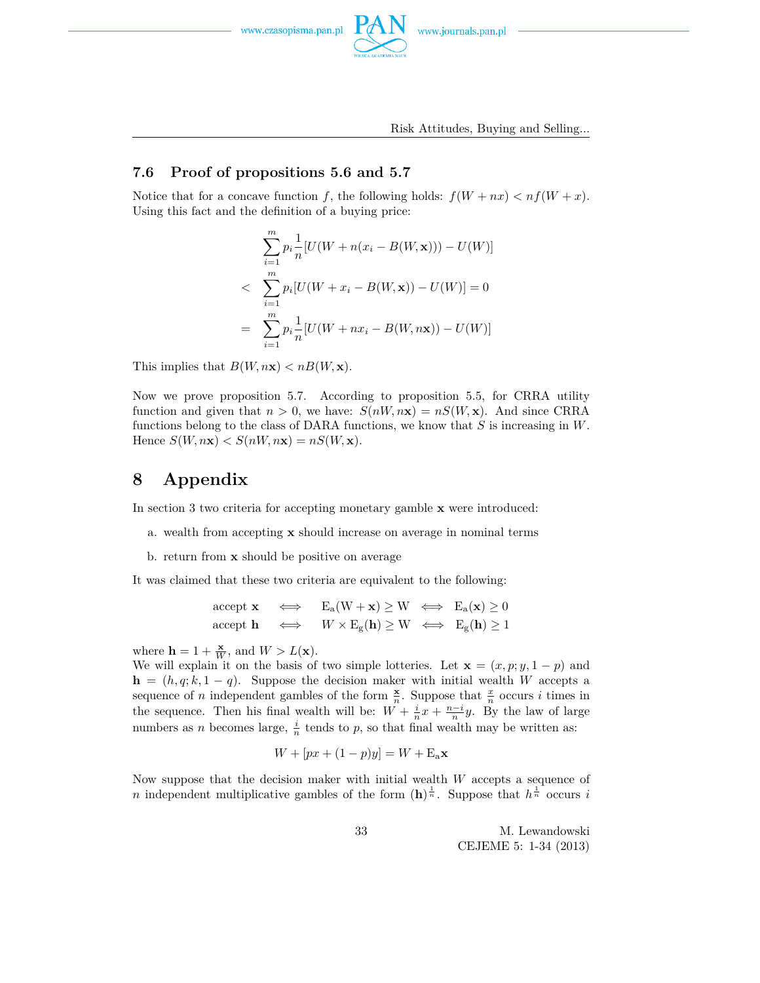### **7.6 Proof of propositions 5.6 and 5.7**

Notice that for a concave function *f*, the following holds:  $f(W + nx) < nf(W + x)$ . Using this fact and the definition of a buying price:

$$
\sum_{i=1}^{m} p_i \frac{1}{n} [U(W + n(x_i - B(W, \mathbf{x}))) - U(W)]
$$
  

$$
< \sum_{i=1}^{m} p_i [U(W + x_i - B(W, \mathbf{x})) - U(W)] = 0
$$
  

$$
= \sum_{i=1}^{m} p_i \frac{1}{n} [U(W + nx_i - B(W, nx)) - U(W)]
$$

This implies that  $B(W, n\mathbf{x}) < nB(W, \mathbf{x})$ .

Now we prove proposition 5.7. According to proposition 5.5, for CRRA utility function and given that  $n > 0$ , we have:  $S(nW, n**x**) = nS(W, **x**)$ . And since CRRA functions belong to the class of DARA functions, we know that *S* is increasing in *W*. Hence  $S(W, n\mathbf{x}) < S(nW, n\mathbf{x}) = nS(W, \mathbf{x}).$ 

## **8 Appendix**

In section 3 two criteria for accepting monetary gamble **x** were introduced:

- a. wealth from accepting **x** should increase on average in nominal terms
- b. return from **x** should be positive on average

It was claimed that these two criteria are equivalent to the following:

 $\text{accept } \mathbf{x} \quad \Longleftrightarrow \quad E_a(W + \mathbf{x}) \geq W \quad \Longleftrightarrow \quad E_a(\mathbf{x}) \geq 0$  $\text{accept } \mathbf{h} \iff W \times E_{\alpha}(\mathbf{h}) > W \iff E_{\alpha}(\mathbf{h}) > 1$ 

where  $\mathbf{h} = 1 + \frac{\mathbf{x}}{W}$ , and  $W > L(\mathbf{x})$ .

We will explain it on the basis of two simple lotteries. Let  $\mathbf{x} = (x, p; y, 1 - p)$  and  $\mathbf{h} = (h, q; k, 1 - q)$ . Suppose the decision maker with initial wealth *W* accepts a sequence of *n* independent gambles of the form  $\frac{x}{n}$ . Suppose that  $\frac{x}{n}$  occurs *i* times in the sequence. Then his final wealth will be:  $W + \frac{i}{n}x + \frac{n-i}{n}y$ . By the law of large numbers as *n* becomes large,  $\frac{i}{n}$  tends to *p*, so that final wealth may be written as:

$$
W + [px + (1 - p)y] = W + \mathbf{E}_a \mathbf{x}
$$

Now suppose that the decision maker with initial wealth *W* accepts a sequence of *n* independent multiplicative gambles of the form  $(\mathbf{h})^{\frac{1}{n}}$ . Suppose that  $h^{\frac{1}{n}}$  occurs *i*